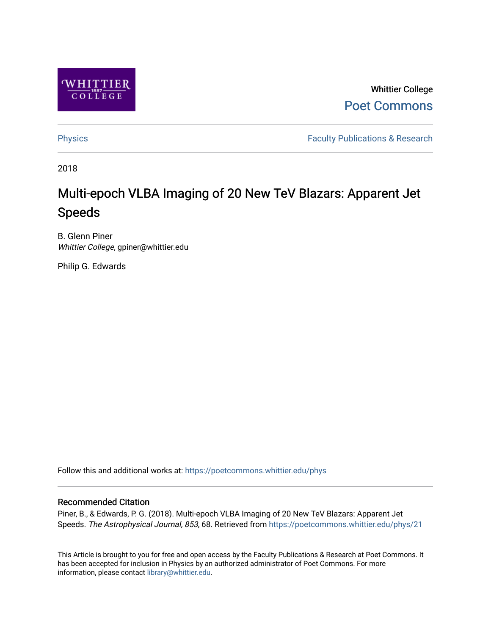

Whittier College [Poet Commons](https://poetcommons.whittier.edu/) 

[Physics](https://poetcommons.whittier.edu/phys) **Faculty Publications & Research Physics Faculty Publications & Research** 

2018

# Multi-epoch VLBA Imaging of 20 New TeV Blazars: Apparent Jet Speeds

B. Glenn Piner Whittier College, gpiner@whittier.edu

Philip G. Edwards

Follow this and additional works at: [https://poetcommons.whittier.edu/phys](https://poetcommons.whittier.edu/phys?utm_source=poetcommons.whittier.edu%2Fphys%2F21&utm_medium=PDF&utm_campaign=PDFCoverPages)

# Recommended Citation

Piner, B., & Edwards, P. G. (2018). Multi-epoch VLBA Imaging of 20 New TeV Blazars: Apparent Jet Speeds. The Astrophysical Journal, 853, 68. Retrieved from [https://poetcommons.whittier.edu/phys/21](https://poetcommons.whittier.edu/phys/21?utm_source=poetcommons.whittier.edu%2Fphys%2F21&utm_medium=PDF&utm_campaign=PDFCoverPages)

This Article is brought to you for free and open access by the Faculty Publications & Research at Poet Commons. It has been accepted for inclusion in Physics by an authorized administrator of Poet Commons. For more information, please contact [library@whittier.edu.](mailto:library@whittier.edu)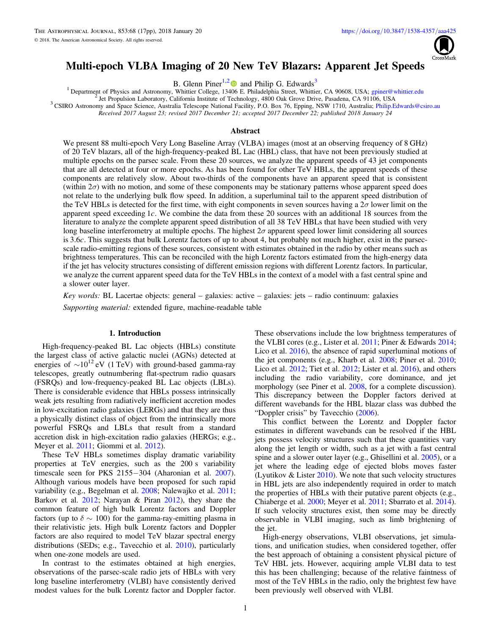

# <span id="page-1-0"></span>Multi-epoch VLBA Imaging of 20 New TeV Blazars: Apparent Jet Speeds

B. Glenn Piner<sup>1,[2](https://orcid.org/0000-0003-4379-3250)</sup> and Philip G. Edwards<sup>3</sup>

<sup>1</sup> Department of Physics and Astronomy, Whittier College, 13[406](https://orcid.org/0000-0003-4379-3250) E. Philadelphia Street, Whittier, CA 90608, USA; [gpiner@whittier.edu](mailto:gpiner@whittier.edu)<br><sup>2</sup> Jet Propulsion Laboratory, California Institute of Technology, 4800 Oak Grove Drive

Received 2017 August 23; revised 2017 December 21; accepted 2017 December 22; published 2018 January 24

# Abstract

We present 88 multi-epoch Very Long Baseline Array (VLBA) images (most at an observing frequency of 8 GHz) of 20 TeV blazars, all of the high-frequency-peaked BL Lac (HBL) class, that have not been previously studied at multiple epochs on the parsec scale. From these 20 sources, we analyze the apparent speeds of 43 jet components that are all detected at four or more epochs. As has been found for other TeV HBLs, the apparent speeds of these components are relatively slow. About two-thirds of the components have an apparent speed that is consistent (within  $2\sigma$ ) with no motion, and some of these components may be stationary patterns whose apparent speed does not relate to the underlying bulk flow speed. In addition, a superluminal tail to the apparent speed distribution of the TeV HBLs is detected for the first time, with eight components in seven sources having a  $2\sigma$  lower limit on the apparent speed exceeding 1*c*. We combine the data from these 20 sources with an additional 18 sources from the literature to analyze the complete apparent speed distribution of all 38 TeV HBLs that have been studied with very long baseline interferometry at multiple epochs. The highest  $2\sigma$  apparent speed lower limit considering all sources is 3.6*c*. This suggests that bulk Lorentz factors of up to about 4, but probably not much higher, exist in the parsecscale radio-emitting regions of these sources, consistent with estimates obtained in the radio by other means such as brightness temperatures. This can be reconciled with the high Lorentz factors estimated from the high-energy data if the jet has velocity structures consisting of different emission regions with different Lorentz factors. In particular, we analyze the current apparent speed data for the TeV HBLs in the context of a model with a fast central spine and a slower outer layer.

Key words: BL Lacertae objects: general – galaxies: active – galaxies: jets – radio continuum: galaxies Supporting material: extended figure, machine-readable table

### 1. Introduction

High-frequency-peaked BL Lac objects (HBLs) constitute the largest class of active galactic nuclei (AGNs) detected at energies of  $\sim 10^{12}$  eV (1 TeV) with ground-based gamma-ray telescopes, greatly outnumbering flat-spectrum radio quasars (FSRQs) and low-frequency-peaked BL Lac objects (LBLs). There is considerable evidence that HBLs possess intrinsically weak jets resulting from radiatively inefficient accretion modes in low-excitation radio galaxies (LERGs) and that they are thus a physically distinct class of object from the intrinsically more powerful FSRQs and LBLs that result from a standard accretion disk in high-excitation radio galaxies (HERGs; e.g., Meyer et al. [2011](#page-17-0); Giommi et al. [2012](#page-17-0)).

These TeV HBLs sometimes display dramatic variability properties at TeV energies, such as the 200 s variability timescale seen for PKS 2155−304 (Aharonian et al. [2007](#page-17-0)). Although various models have been proposed for such rapid variability (e.g., Begelman et al. [2008](#page-17-0); Nalewajko et al. [2011](#page-17-0); Barkov et al. [2012](#page-17-0); Narayan & Piran [2012](#page-17-0)), they share the common feature of high bulk Lorentz factors and Doppler factors (up to  $\delta \sim 100$ ) for the gamma-ray-emitting plasma in their relativistic jets. High bulk Lorentz factors and Doppler factors are also required to model TeV blazar spectral energy distributions (SEDs; e.g., Tavecchio et al. [2010](#page-17-0)), particularly when one-zone models are used.

In contrast to the estimates obtained at high energies, observations of the parsec-scale radio jets of HBLs with very long baseline interferometry (VLBI) have consistently derived modest values for the bulk Lorentz factor and Doppler factor. These observations include the low brightness temperatures of the VLBI cores (e.g., Lister et al. [2011;](#page-17-0) Piner & Edwards [2014](#page-17-0); Lico et al. [2016](#page-17-0)), the absence of rapid superluminal motions of the jet components (e.g., Kharb et al. [2008;](#page-17-0) Piner et al. [2010](#page-17-0); Lico et al. [2012;](#page-17-0) Tiet et al. [2012;](#page-17-0) Lister et al. [2016](#page-17-0)), and others including the radio variability, core dominance, and jet morphology (see Piner et al. [2008](#page-17-0), for a complete discussion). This discrepancy between the Doppler factors derived at different wavebands for the HBL blazar class was dubbed the "Doppler crisis" by Tavecchio ([2006](#page-17-0)).

This conflict between the Lorentz and Doppler factor estimates in different wavebands can be resolved if the HBL jets possess velocity structures such that these quantities vary along the jet length or width, such as a jet with a fast central spine and a slower outer layer (e.g., Ghisellini et al. [2005](#page-17-0)), or a jet where the leading edge of ejected blobs moves faster (Lyutikov  $&$  Lister [2010](#page-17-0)). We note that such velocity structures in HBL jets are also independently required in order to match the properties of HBLs with their putative parent objects (e.g., Chiaberge et al. [2000](#page-17-0); Meyer et al. [2011;](#page-17-0) Sbarrato et al. [2014](#page-17-0)). If such velocity structures exist, then some may be directly observable in VLBI imaging, such as limb brightening of the jet.

High-energy observations, VLBI observations, jet simulations, and unification studies, when considered together, offer the best approach of obtaining a consistent physical picture of TeV HBL jets. However, acquiring ample VLBI data to test this has been challenging; because of the relative faintness of most of the TeV HBLs in the radio, only the brightest few have been previously well observed with VLBI.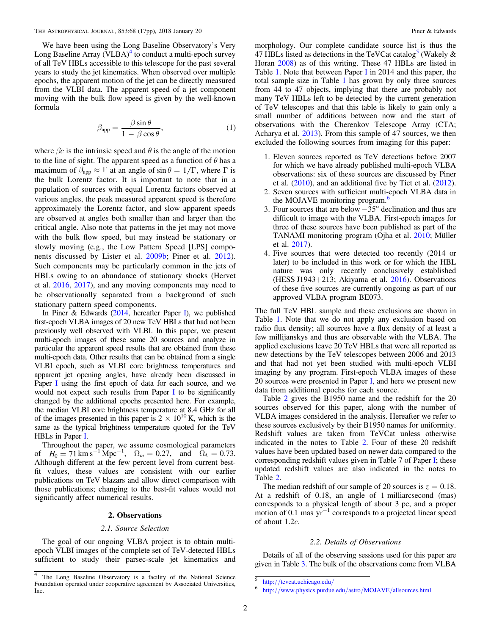We have been using the Long Baseline Observatory's Very Long Baseline Array (VLBA)<sup>4</sup> to conduct a multi-epoch survey of all TeV HBLs accessible to this telescope for the past several years to study the jet kinematics. When observed over multiple epochs, the apparent motion of the jet can be directly measured from the VLBI data. The apparent speed of a jet component moving with the bulk flow speed is given by the well-known formula

$$
\beta_{\rm app} = \frac{\beta \sin \theta}{1 - \beta \cos \theta},\tag{1}
$$

where  $\beta c$  is the intrinsic speed and  $\theta$  is the angle of the motion to the line of sight. The apparent speed as a function of  $\theta$  has a maximum of  $\beta_{\text{app}} \approx \Gamma$  at an angle of sin  $\theta = 1/\Gamma$ , where  $\Gamma$  is the bulk Lorentz factor. It is important to note that in a population of sources with equal Lorentz factors observed at various angles, the peak measured apparent speed is therefore approximately the Lorentz factor, and slow apparent speeds are observed at angles both smaller than and larger than the critical angle. Also note that patterns in the jet may not move with the bulk flow speed, but may instead be stationary or slowly moving (e.g., the Low Pattern Speed [LPS] components discussed by Lister et al. [2009b;](#page-17-0) Piner et al. [2012](#page-17-0)). Such components may be particularly common in the jets of HBLs owing to an abundance of stationary shocks (Hervet et al. [2016,](#page-17-0) [2017](#page-17-0)), and any moving components may need to be observationally separated from a background of such stationary pattern speed components.

[I](#page-17-0)n Piner & Edwards  $(2014,$  $(2014,$  hereafter Paper I), we published first-epoch VLBA images of 20 new TeV HBLs that had not been previously well observed with VLBI. In this paper, we present multi-epoch images of these same 20 sources and analyze in particular the apparent speed results that are obtained from these multi-epoch data. Other results that can be obtained from a single VLBI epoch, such as VLBI core brightness temperatures and apparent jet opening angles, have already been discussed in Paper [I](#page-17-0) using the first epoch of data for each source, and we would not expect such results from Paper [I](#page-17-0) to be significantly changed by the additional epochs presented here. For example, the median VLBI core brightness temperature at 8.4 GHz for all of the images presented in this paper is  $2 \times 10^{10}$  K, which is the same as the typical brightness temperature quoted for the TeV HBLs in Paper [I.](#page-17-0)

Throughout the paper, we assume cosmological parameters of  $H_0 = 71 \text{ km s}^{-1} \text{ Mpc}^{-1}$ ,  $\Omega_m = 0.27$ , and  $\Omega_\Lambda = 0.73$ . Although different at the few percent level from current bestfit values, these values are consistent with our earlier publications on TeV blazars and allow direct comparison with those publications; changing to the best-fit values would not significantly affect numerical results.

# 2. Observations

#### 2.1. Source Selection

The goal of our ongoing VLBA project is to obtain multiepoch VLBI images of the complete set of TeV-detected HBLs sufficient to study their parsec-scale jet kinematics and morphology. Our complete candidate source list is thus the 47 HBLs listed as detections in the TeVCat catalog<sup>3</sup> (Wakely  $\&$ Horan [2008](#page-17-0)) as of this writing. These 47 HBLs are listed in Table [1](#page-3-0). Note that between Paper [I](#page-17-0) in 2014 and this paper, the total sample size in Table [1](#page-3-0) has grown by only three sources from 44 to 47 objects, implying that there are probably not many TeV HBLs left to be detected by the current generation of TeV telescopes and that this table is likely to gain only a small number of additions between now and the start of observations with the Cherenkov Telescope Array (CTA; Acharya et al. [2013](#page-17-0)). From this sample of 47 sources, we then excluded the following sources from imaging for this paper:

- 1. Eleven sources reported as TeV detections before 2007 for which we have already published multi-epoch VLBA observations: six of these sources are discussed by Piner et al.  $(2010)$  $(2010)$  $(2010)$ , and an additional five by Tiet et al.  $(2012)$  $(2012)$  $(2012)$ .
- 2. Seven sources with sufficient multi-epoch VLBA data in the MOJAVE monitoring program.<sup>6</sup>
- 3. Four sources that are below  $-35^{\circ}$  declination and thus are difficult to image with the VLBA. First-epoch images for three of these sources have been published as part of the TANAMI monitoring program (Ojha et al. [2010](#page-17-0); Müller et al. [2017](#page-17-0)).
- 4. Five sources that were detected too recently (2014 or later) to be included in this work or for which the HBL nature was only recently conclusively established (HESS J1943+213; Akiyama et al. [2016](#page-17-0)). Observations of these five sources are currently ongoing as part of our approved VLBA program BE073.

The full TeV HBL sample and these exclusions are shown in Table [1.](#page-3-0) Note that we do not apply any exclusion based on radio flux density; all sources have a flux density of at least a few millijanskys and thus are observable with the VLBA. The applied exclusions leave 20 TeV HBLs that were all reported as new detections by the TeV telescopes between 2006 and 2013 and that had not yet been studied with multi-epoch VLBI imaging by any program. First-epoch VLBA images of these 20 sources were presented in Paper [I,](#page-17-0) and here we present new data from additional epochs for each source.

Table [2](#page-4-0) gives the B1950 name and the redshift for the 20 sources observed for this paper, along with the number of VLBA images considered in the analysis. Hereafter we refer to these sources exclusively by their B1950 names for uniformity. Redshift values are taken from TeVCat unless otherwise indicated in the notes to Table [2.](#page-4-0) Four of these 20 redshift values have been updated based on newer data compared to the corresponding redshift values given in Table 7 of Paper [I;](#page-17-0) these updated redshift values are also indicated in the notes to Table [2.](#page-4-0)

The median redshift of our sample of 20 sources is  $z = 0.18$ . At a redshift of 0.18, an angle of 1 milliarcsecond (mas) corresponds to a physical length of about 3 pc, and a proper motion of 0.1 mas  $yr^{-1}$  corresponds to a projected linear speed of about 1.2c.

# 2.2. Details of Observations

Details of all of the observing sessions used for this paper are given in Table [3.](#page-5-0) The bulk of the observations come from VLBA

<sup>4</sup> The Long Baseline Observatory is a facility of the National Science Foundation operated under cooperative agreement by Associated Universities, Inc.

 $\frac{5}{6}$  http://[tevcat.uchicago.edu](http://tevcat.uchicago.edu/)/<br>6 http://[www.physics.purdue.edu](http://www.physics.purdue.edu/astro/MOJAVE/allsources.html)/astro/MOJAVE/allsources.html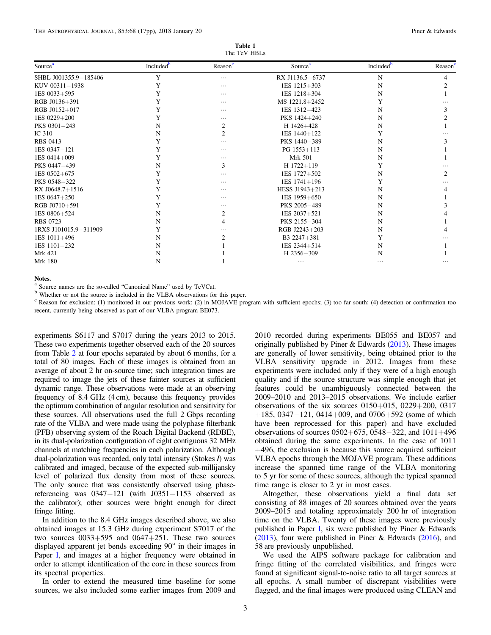| Table 1      |  |
|--------------|--|
| The TeV HBLs |  |

<span id="page-3-0"></span>

| Source <sup>a</sup>   | Included <sup>b</sup> | Reason <sup>c</sup> | Source <sup>a</sup> | Included <sup>b</sup> | Reason <sup>c</sup> |
|-----------------------|-----------------------|---------------------|---------------------|-----------------------|---------------------|
| SHBL J001355.9-185406 | Y                     | $\cdots$            | RX J1136.5+6737     | N                     | 4                   |
| KUV 00311-1938        | Y                     | $\cdots$            | $1ES$ $1215+303$    | N                     |                     |
| 1ES 0033+595          | Y                     | $\cdots$            | 1ES 1218+304        | N                     |                     |
| RGB J0136+391         | Y                     | $\cdots$            | MS 1221.8+2452      | Y                     |                     |
| RGB J0152+017         | Y                     | $\cdots$            | 1ES 1312-423        | N                     |                     |
| 1ES 0229+200          | Y                     | .                   | PKS 1424+240        | N                     |                     |
| PKS 0301-243          | N                     | 2                   | H 1426+428          | N                     |                     |
| IC 310                | N                     | $\overline{2}$      | 1ES 1440+122        | Y                     |                     |
| <b>RBS 0413</b>       | Y                     | .                   | PKS 1440-389        | N                     |                     |
| $1ES 0347 - 121$      | Y                     | $\cdots$            | PG 1553+113         | N                     |                     |
| 1ES 0414+009          | Y                     | .                   | <b>Mrk 501</b>      | N                     |                     |
| PKS 0447-439          | N                     | 3                   | $H$ 1722+119        | Y                     |                     |
| 1ES 0502+675          | Y                     | .                   | $1ES$ 1727 $+502$   | N                     |                     |
| PKS 0548-322          | Y                     | $\cdots$            | $1ES$ $1741 + 196$  | Y                     |                     |
| RX J0648.7+1516       | Y                     | $\cdots$            | HESS J1943+213      | N                     |                     |
| $1ES\ 0647+250$       | Y                     | .                   | 1ES 1959+650        | N                     |                     |
| RGB J0710+591         | Y                     | $\cdots$            | PKS 2005-489        | N                     |                     |
| 1ES 0806+524          | N                     | $\overline{c}$      | 1ES 2037+521        | N                     |                     |
| <b>RBS 0723</b>       | N                     | 4                   | PKS 2155-304        | N                     |                     |
| 1RXS J101015.9-311909 | Y                     | .                   | RGB J2243+203       | N                     |                     |
| 1ES 1011+496          | N                     | 2                   | B3 2247+381         | Y                     |                     |
| 1ES 1101-232          | N                     |                     | 1ES 2344+514        | N                     |                     |
| Mrk 421               | N                     |                     | H 2356-309          | N                     |                     |
| <b>Mrk 180</b>        | N                     |                     | $\cdots$            | $\cdots$              | $\cdots$            |

Notes.<br><sup>a</sup> Source names are the so-called "Canonical Name" used by TeVCat.

<sup>b</sup> Whether or not the source is included in the VLBA observations for this paper.

<sup>c</sup> Reason for exclusion: (1) monitored in our previous work; (2) in MOJAVE program with sufficient epochs; (3) too far south; (4) detection or confirmation too recent, currently being observed as part of our VLBA program BE073.

experiments S6117 and S7017 during the years 2013 to 2015. These two experiments together observed each of the 20 sources from Table [2](#page-4-0) at four epochs separated by about 6 months, for a total of 80 images. Each of these images is obtained from an average of about 2 hr on-source time; such integration times are required to image the jets of these fainter sources at sufficient dynamic range. These observations were made at an observing frequency of 8.4 GHz (4 cm), because this frequency provides the optimum combination of angular resolution and sensitivity for these sources. All observations used the full 2 Gbps recording rate of the VLBA and were made using the polyphase filterbank (PFB) observing system of the Roach Digital Backend (RDBE), in its dual-polarization configuration of eight contiguous 32 MHz channels at matching frequencies in each polarization. Although dual-polarization was recorded, only total intensity (Stokes I) was calibrated and imaged, because of the expected sub-millijansky level of polarized flux density from most of these sources. The only source that was consistently observed using phasereferencing was 0347−121 (with J0351−1153 observed as the calibrator); other sources were bright enough for direct fringe fitting.

In addition to the 8.4 GHz images described above, we also obtained images at 15.3 GHz during experiment S7017 of the two sources  $0033+595$  and  $0647+251$ . These two sources displayed apparent jet bends exceeding 90° in their images in Paper [I,](#page-17-0) and images at a higher frequency were obtained in order to attempt identification of the core in these sources from its spectral properties.

In order to extend the measured time baseline for some sources, we also included some earlier images from 2009 and

2010 recorded during experiments BE055 and BE057 and originally published by Piner & Edwards ([2013](#page-17-0)). These images are generally of lower sensitivity, being obtained prior to the VLBA sensitivity upgrade in 2012. Images from these experiments were included only if they were of a high enough quality and if the source structure was simple enough that jet features could be unambiguously connected between the 2009–2010 and 2013–2015 observations. We include earlier observations of the six sources 0150+015, 0229+200, 0317 +185, 0347−121, 0414+009, and 0706+592 (some of which have been reprocessed for this paper) and have excluded observations of sources 0502+675, 0548−322, and 1011+496 obtained during the same experiments. In the case of 1011  $+496$ , the exclusion is because this source acquired sufficient VLBA epochs through the MOJAVE program. These additions increase the spanned time range of the VLBA monitoring to 5 yr for some of these sources, although the typical spanned time range is closer to 2 yr in most cases.

Altogether, these observations yield a final data set consisting of 88 images of 20 sources obtained over the years 2009–2015 and totaling approximately 200 hr of integration time on the VLBA. Twenty of these images were previously published in Paper [I](#page-17-0), six were published by Piner & Edwards ([2013](#page-17-0)), four were published in Piner & Edwards ([2016](#page-17-0)), and 58 are previously unpublished.

We used the AIPS software package for calibration and fringe fitting of the correlated visibilities, and fringes were found at significant signal-to-noise ratio to all target sources at all epochs. A small number of discrepant visibilities were flagged, and the final images were produced using CLEAN and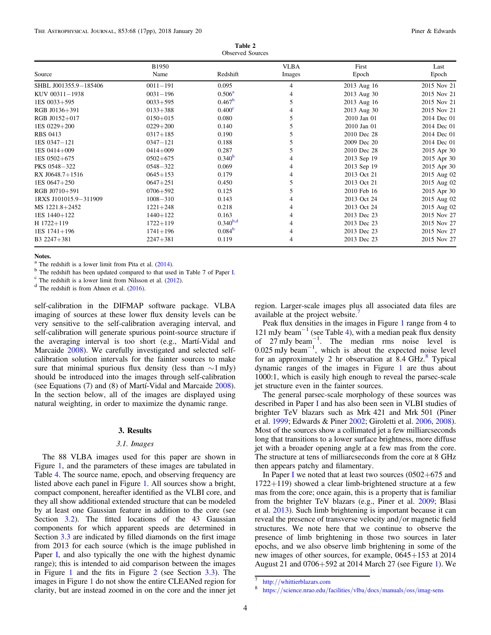Table 2 Observed Sources

<span id="page-4-0"></span>

|                       | B1950        |                    | <b>VLBA</b> | First       | Last        |
|-----------------------|--------------|--------------------|-------------|-------------|-------------|
| Source                | Name         | Redshift           | Images      | Epoch       | Epoch       |
| SHBL J001355.9-185406 | $0011 - 191$ | 0.095              | 4           | 2013 Aug 16 | 2015 Nov 21 |
| KUV 00311-1938        | $0031 - 196$ | $0.506^{\rm a}$    |             | 2013 Aug 30 | 2015 Nov 21 |
| $1ES$ 0033+595        | $0033 + 595$ | $0.467^{\rm b}$    | 5           | 2013 Aug 16 | 2015 Nov 21 |
| RGB J0136+391         | $0133 + 388$ | 0.400 <sup>c</sup> | 4           | 2013 Aug 30 | 2015 Nov 21 |
| RGB J0152+017         | $0150 + 015$ | 0.080              |             | 2010 Jan 01 | 2014 Dec 01 |
| 1ES 0229+200          | $0229 + 200$ | 0.140              |             | 2010 Jan 01 | 2014 Dec 01 |
| <b>RBS 0413</b>       | $0317 + 185$ | 0.190              |             | 2010 Dec 28 | 2014 Dec 01 |
| 1ES 0347-121          | $0347 - 121$ | 0.188              |             | 2009 Dec 20 | 2014 Dec 01 |
| 1ES 0414+009          | $0414 + 009$ | 0.287              |             | 2010 Dec 28 | 2015 Apr 30 |
| $1ES 0502 + 675$      | $0502 + 675$ | $0.340^{b}$        |             | 2013 Sep 19 | 2015 Apr 30 |
| PKS 0548-322          | $0548 - 322$ | 0.069              | 4           | 2013 Sep 19 | 2015 Apr 30 |
| RX J0648.7+1516       | $0645 + 153$ | 0.179              |             | 2013 Oct 21 | 2015 Aug 02 |
| $1ES\ 0647+250$       | $0647 + 251$ | 0.450              |             | 2013 Oct 21 | 2015 Aug 02 |
| RGB J0710+591         | $0706 + 592$ | 0.125              | 5           | 2010 Feb 16 | 2015 Apr 30 |
| 1RXS J101015.9-311909 | $1008 - 310$ | 0.143              |             | 2013 Oct 24 | 2015 Aug 02 |
| MS 1221.8+2452        | $1221 + 248$ | 0.218              |             | 2013 Oct 24 | 2015 Aug 02 |
| 1ES 1440+122          | $1440 + 122$ | 0.163              |             | 2013 Dec 23 | 2015 Nov 27 |
| $H$ 1722+119          | $1722 + 119$ | $0.340^{b,d}$      |             | 2013 Dec 23 | 2015 Nov 27 |
| $1ES$ 1741+196        | $1741 + 196$ | 0.084 <sup>b</sup> |             | 2013 Dec 23 | 2015 Nov 27 |
| B3 2247+381           | $2247 + 381$ | 0.119              | 4           | 2013 Dec 23 | 2015 Nov 27 |

Notes.<br><sup>a</sup> The redshift is a lower limit from Pita et al. (2014).

self-calibration in the DIFMAP software package. VLBA imaging of sources at these lower flux density levels can be very sensitive to the self-calibration averaging interval, and self-calibration will generate spurious point-source structure if the averaging interval is too short (e.g., Martí-Vidal and Marcaide [2008](#page-17-0)). We carefully investigated and selected selfcalibration solution intervals for the fainter sources to make sure that minimal spurious flux density (less than  $\sim$ 1 mJy) should be introduced into the images through self-calibration (see Equations (7) and (8) of Martí-Vidal and Marcaide [2008](#page-17-0)). In the section below, all of the images are displayed using natural weighting, in order to maximize the dynamic range.

#### 3. Results

### 3.1. Images

The 88 VLBA images used for this paper are shown in Figure [1](#page-6-0), and the parameters of these images are tabulated in Table [4](#page-7-0). The source name, epoch, and observing frequency are listed above each panel in Figure [1](#page-6-0). All sources show a bright, compact component, hereafter identified as the VLBI core, and they all show additional extended structure that can be modeled by at least one Gaussian feature in addition to the core (see Section [3.2](#page-5-0)). The fitted locations of the 43 Gaussian components for which apparent speeds are determined in Section [3.3](#page-8-0) are indicated by filled diamonds on the first image from 2013 for each source (which is the image published in Paper [I,](#page-17-0) and also typically the one with the highest dynamic range); this is intended to aid comparison between the images in Figure [1](#page-6-0) and the fits in Figure [2](#page-9-0) (see Section [3.3](#page-8-0)). The images in Figure [1](#page-6-0) do not show the entire CLEANed region for clarity, but are instead zoomed in on the core and the inner jet region. Larger-scale images plus all associated data files are available at the project website.

Peak flux densities in the images in Figure [1](#page-6-0) range from 4 to 121 mJy beam<sup> $-1$ </sup> (see Table [4](#page-7-0)), with a median peak flux density of  $27 \text{ mJy beam}^{-1}$ . The median rms noise level is 0.025 mJy beam−<sup>1</sup> , which is about the expected noise level for an approximately 2 hr observation at 8.4 GHz. $\textdegree$  Typical dynamic ranges of the images in Figure [1](#page-6-0) are thus about 1000:1, which is easily high enough to reveal the parsec-scale jet structure even in the fainter sources.

The general parsec-scale morphology of these sources was described in Paper [I](#page-17-0) and has also been seen in VLBI studies of brighter TeV blazars such as Mrk 421 and Mrk 501 (Piner et al. [1999;](#page-17-0) Edwards & Piner [2002;](#page-17-0) Giroletti et al. [2006](#page-17-0), [2008](#page-17-0)). Most of the sources show a collimated jet a few milliarcseconds long that transitions to a lower surface brightness, more diffuse jet with a broader opening angle at a few mas from the core. The structure at tens of milliarcseconds from the core at 8 GHz then appears patchy and filamentary.

[I](#page-17-0)n Paper I we noted that at least two sources  $(0502+675)$  and 1722+119) showed a clear limb-brightened structure at a few mas from the core; once again, this is a property that is familiar from the brighter TeV blazars (e.g., Piner et al. [2009;](#page-17-0) Blasi et al. [2013](#page-17-0)). Such limb brightening is important because it can reveal the presence of transverse velocity and/or magnetic field structures. We note here that we continue to observe the presence of limb brightening in those two sources in later epochs, and we also observe limb brightening in some of the new images of other sources, for example, 0645+153 at 2014 August 21 and 0706+592 at 2014 March 27 (see Figure [1](#page-6-0)). We

<sup>&</sup>lt;sup>b</sup> The redshift has been updated compared to that used in Table 7 of Paper [I.](#page-17-0)<br>
<sup>c</sup> The redshift is a lower limit from Nilsson et al. ([2012](#page-17-0)).<br>
<sup>d</sup> The redshift is from Ahnen et al. ([2016](#page-17-0)).

 $\frac{7}{8}$  http://[whittierblazars.com](http://whittierblazars.com)<br>8 https://[science.nrao.edu](https://science.nrao.edu/facilities/vlba/docs/manuals/oss/imag-sens)/facilities/vlba/docs/manuals/oss/imag-sens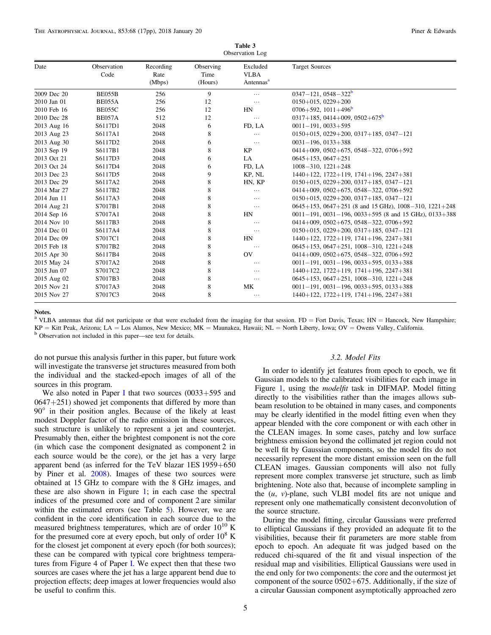<span id="page-5-0"></span>

| Observation Log |                     |                             |                              |                                                  |                                                                 |  |  |  |
|-----------------|---------------------|-----------------------------|------------------------------|--------------------------------------------------|-----------------------------------------------------------------|--|--|--|
| Date            | Observation<br>Code | Recording<br>Rate<br>(Mbps) | Observing<br>Time<br>(Hours) | Excluded<br><b>VLBA</b><br>Antennas <sup>a</sup> | <b>Target Sources</b>                                           |  |  |  |
| 2009 Dec 20     | <b>BE055B</b>       | 256                         | 9                            | $\cdots$                                         | $0347 - 121, 0548 - 322^b$                                      |  |  |  |
| 2010 Jan 01     | BE055A              | 256                         | 12                           | $\cdots$                                         | $0150+015$ , $0229+200$                                         |  |  |  |
| 2010 Feb 16     | <b>BE055C</b>       | 256                         | 12                           | HN                                               | $0706 + 592$ , $1011 + 496$ <sup>b</sup>                        |  |  |  |
| 2010 Dec 28     | BE057A              | 512                         | 12                           | $\cdots$                                         | $0317+185$ , 0414+009, 0502+675 <sup>b</sup>                    |  |  |  |
| 2013 Aug 16     | S6117D1             | 2048                        | 6                            | FD, LA                                           | $0011 - 191$ , $0033 + 595$                                     |  |  |  |
| 2013 Aug 23     | S6117A1             | 2048                        | 8                            | $\cdots$                                         | $0150+015$ , $0229+200$ , $0317+185$ , $0347-121$               |  |  |  |
| 2013 Aug 30     | S6117D2             | 2048                        | 6                            | $\cdots$                                         | $0031 - 196$ , $0133 + 388$                                     |  |  |  |
| 2013 Sep 19     | S6117B1             | 2048                        | 8                            | KP                                               | $0414+009, 0502+675, 0548-322, 0706+592$                        |  |  |  |
| 2013 Oct 21     | S6117D3             | 2048                        | 6                            | LA                                               | $0645+153, 0647+251$                                            |  |  |  |
| 2013 Oct 24     | S6117D4             | 2048                        | 6                            | FD, LA                                           | $1008 - 310$ , $1221 + 248$                                     |  |  |  |
| 2013 Dec 23     | S6117D5             | 2048                        | 9                            | KP, NL                                           | $1440+122$ , $1722+119$ , $1741+196$ , $2247+381$               |  |  |  |
| 2013 Dec 29     | S6117A2             | 2048                        | 8                            | HN, KP                                           | $0150+015$ , $0229+200$ , $0317+185$ , $0347-121$               |  |  |  |
| 2014 Mar 27     | S6117B2             | 2048                        | 8                            | $\cdots$                                         | $0414 + 009$ , $0502 + 675$ , $0548 - 322$ , $0706 + 592$       |  |  |  |
| 2014 Jun 11     | S6117A3             | 2048                        | 8                            | $\cdots$                                         | $0150+015$ , $0229+200$ , $0317+185$ , $0347-121$               |  |  |  |
| 2014 Aug 21     | S7017B1             | 2048                        | 8                            | $\cdots$                                         | $0645+153$ , $0647+251$ (8 and 15 GHz), $1008-310$ , $1221+248$ |  |  |  |
| 2014 Sep 16     | S7017A1             | 2048                        | 8                            | HN                                               | $0011-191$ , $0031-196$ , $0033+595$ (8 and 15 GHz), $0133+388$ |  |  |  |
| 2014 Nov 10     | S6117B3             | 2048                        | 8                            | $\cdots$                                         | $0414+009$ , $0502+675$ , $0548-322$ , $0706+592$               |  |  |  |
| 2014 Dec 01     | S6117A4             | 2048                        | 8                            | $\cdots$                                         | $0150+015$ , $0229+200$ , $0317+185$ , $0347-121$               |  |  |  |
| 2014 Dec 09     | S7017C1             | 2048                        | 8                            | HN                                               | $1440+122$ , $1722+119$ , $1741+196$ , $2247+381$               |  |  |  |
| 2015 Feb 18     | S7017B2             | 2048                        | 8                            | $\cdots$                                         | $0645+153$ , $0647+251$ , $1008-310$ , $1221+248$               |  |  |  |
| 2015 Apr 30     | S6117B4             | 2048                        | 8                            | <b>OV</b>                                        | $0414+009, 0502+675, 0548-322, 0706+592$                        |  |  |  |
| 2015 May 24     | S7017A2             | 2048                        | 8                            | $\cdots$                                         | $0011 - 191$ , $0031 - 196$ , $0033 + 595$ , $0133 + 388$       |  |  |  |
| 2015 Jun 07     | S7017C2             | 2048                        | 8                            | $\cdots$                                         | $1440+122$ , $1722+119$ , $1741+196$ , $2247+381$               |  |  |  |
| 2015 Aug 02     | S7017B3             | 2048                        | 8                            | $\cdots$                                         | $0645+153$ , $0647+251$ , $1008-310$ , $1221+248$               |  |  |  |
| 2015 Nov 21     | S7017A3             | 2048                        | 8                            | MK                                               | $0011 - 191$ , $0031 - 196$ , $0033 + 595$ , $0133 + 388$       |  |  |  |
| 2015 Nov 27     | S7017C3             | 2048                        | 8                            | $\cdots$                                         | $1440+122$ , $1722+119$ , $1741+196$ , $2247+381$               |  |  |  |

Table 3

#### Notes.

<sup>a</sup> VLBA antennas that did not participate or that were excluded from the imaging for that session. FD = Fort Davis, Texas; HN = Hancock, New Hampshire;

KP = Kitt Peak, Arizona; LA = Los Alamos, New Mexico; MK = Maunakea, Hawaii; NL = North Liberty, Iowa; OV = Owens Valley, California. b Observation not included in this paper—see text for details.

do not pursue this analysis further in this paper, but future work will investigate the transverse jet structures measured from both the individual and the stacked-epoch images of all of the sources in this program.

We also noted in Paper [I](#page-17-0) that two sources  $(0.033 + 595)$  and  $0647+251$ ) showed jet components that differed by more than 90° in their position angles. Because of the likely at least modest Doppler factor of the radio emission in these sources, such structure is unlikely to represent a jet and counterjet. Presumably then, either the brightest component is not the core (in which case the component designated as component 2 in each source would be the core), or the jet has a very large apparent bend (as inferred for the TeV blazar 1ES 1959+650 by Piner et al. [2008](#page-17-0)). Images of these two sources were obtained at 15 GHz to compare with the 8 GHz images, and these are also shown in Figure [1](#page-6-0); in each case the spectral indices of the presumed core and of component 2 are similar within the estimated errors (see Table [5](#page-11-0)). However, we are confident in the core identification in each source due to the measured brightness temperatures, which are of order  $10^{10}$  K for the presumed core at every epoch, but only of order  $10^8$  K for the closest jet component at every epoch (for both sources); these can be compared with typical core brightness temperatures from Figure 4 of Paper [I](#page-17-0). We expect then that these two sources are cases where the jet has a large apparent bend due to projection effects; deep images at lower frequencies would also be useful to confirm this.

# 3.2. Model Fits

In order to identify jet features from epoch to epoch, we fit Gaussian models to the calibrated visibilities for each image in Figure [1](#page-6-0), using the *modelfit* task in DIFMAP. Model fitting directly to the visibilities rather than the images allows subbeam resolution to be obtained in many cases, and components may be clearly identified in the model fitting even when they appear blended with the core component or with each other in the CLEAN images. In some cases, patchy and low surface brightness emission beyond the collimated jet region could not be well fit by Gaussian components, so the model fits do not necessarily represent the more distant emission seen on the full CLEAN images. Gaussian components will also not fully represent more complex transverse jet structure, such as limb brightening. Note also that, because of incomplete sampling in the  $(u, v)$ -plane, such VLBI model fits are not unique and represent only one mathematically consistent deconvolution of the source structure.

During the model fitting, circular Gaussians were preferred to elliptical Gaussians if they provided an adequate fit to the visibilities, because their fit parameters are more stable from epoch to epoch. An adequate fit was judged based on the reduced chi-squared of the fit and visual inspection of the residual map and visibilities. Elliptical Gaussians were used in the end only for two components: the core and the outermost jet component of the source  $0502+675$ . Additionally, if the size of a circular Gaussian component asymptotically approached zero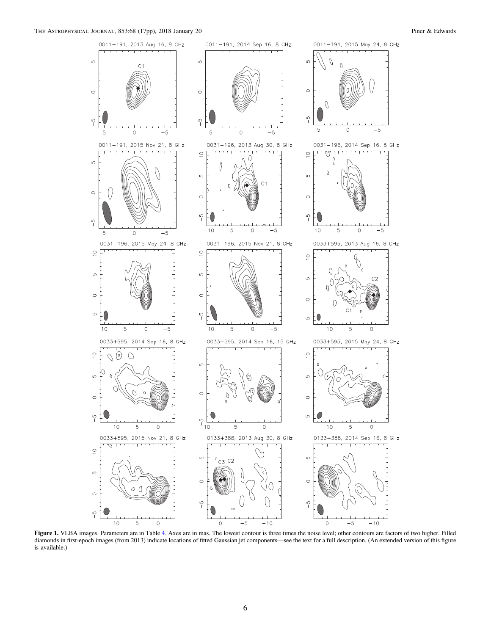<span id="page-6-0"></span>

Figure 1. VLBA images. Parameters are in Table [4.](#page-7-0) Axes are in mas. The lowest contour is three times the noise level; other contours are factors of two higher. Filled diamonds in first-epoch images (from 2013) indicate locations of fitted Gaussian jet components—see the text for a full description. (An extended version of this figure is available.)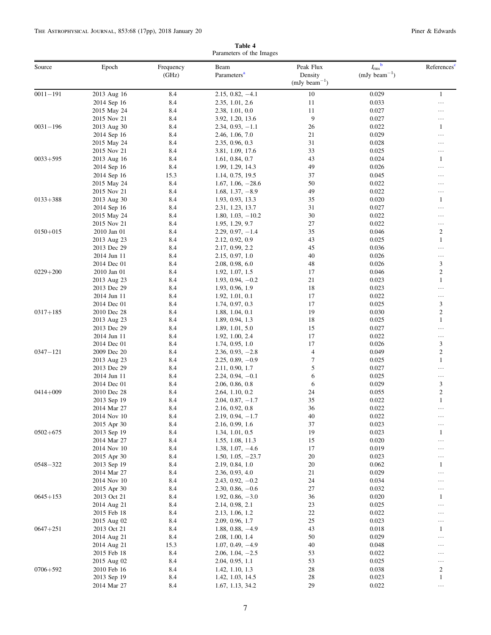<span id="page-7-0"></span>

|              | Parameters of the Images   |                    |                                           |                                           |                                                 |                         |  |  |  |
|--------------|----------------------------|--------------------|-------------------------------------------|-------------------------------------------|-------------------------------------------------|-------------------------|--|--|--|
| Source       | Epoch                      | Frequency<br>(GHz) | Beam<br>Parameters <sup>a</sup>           | Peak Flux<br>Density<br>$(mJy beam^{-1})$ | $I_{\rm rms}$ <sup>b</sup><br>$(mJy beam^{-1})$ | References              |  |  |  |
| $0011 - 191$ | 2013 Aug 16                | 8.4                | $2.15, 0.82, -4.1$                        | 10                                        | 0.029                                           | $\mathbf{1}$            |  |  |  |
|              | 2014 Sep 16                | 8.4                | 2.35, 1.01, 2.6                           | 11                                        | 0.033                                           | $\cdots$                |  |  |  |
|              | 2015 May 24                | 8.4                | 2.38, 1.01, 0.0                           | 11                                        | 0.027                                           | .                       |  |  |  |
|              | 2015 Nov 21                | 8.4                | 3.92, 1.20, 13.6                          | 9                                         | 0.027                                           | .                       |  |  |  |
| $0031 - 196$ | 2013 Aug 30                | 8.4                | $2.34, 0.93, -1.1$                        | 26                                        | 0.022                                           | 1                       |  |  |  |
|              | 2014 Sep 16                | 8.4                | 2.46, 1.06, 7.0                           | 21                                        | 0.029                                           | .                       |  |  |  |
|              | 2015 May 24                | 8.4                | 2.35, 0.96, 0.3                           | 31                                        | 0.028                                           | .                       |  |  |  |
|              | 2015 Nov 21                | 8.4                | 3.81, 1.09, 17.6                          | 33                                        | 0.025                                           |                         |  |  |  |
| $0033 + 595$ | 2013 Aug 16                | 8.4                | 1.61, 0.84, 0.7                           | 43                                        | 0.024                                           | 1                       |  |  |  |
|              | 2014 Sep 16                | 8.4                | 1.99, 1.29, 14.3                          | 49                                        | 0.026                                           | .                       |  |  |  |
|              | 2014 Sep 16                | 15.3               | 1.14, 0.75, 19.5                          | 37                                        | 0.045                                           | .                       |  |  |  |
|              | 2015 May 24                | 8.4                | $1.67, 1.06, -28.6$                       | 50                                        | 0.022                                           | .                       |  |  |  |
|              | 2015 Nov 21                | 8.4                | $1.68, 1.37, -8.9$                        | 49                                        | 0.022                                           | .                       |  |  |  |
| $0133 + 388$ | 2013 Aug 30                | 8.4                | 1.93, 0.93, 13.3                          | 35                                        | 0.020                                           | 1                       |  |  |  |
|              | 2014 Sep 16                | 8.4                | 2.31, 1.23, 13.7                          | 31                                        | 0.027                                           | .                       |  |  |  |
|              | 2015 May 24                | 8.4                | $1.80, 1.03, -10.2$                       | 30                                        | 0.022                                           |                         |  |  |  |
|              | 2015 Nov 21                | 8.4                | 1.95, 1.29, 9.7                           | 27                                        | 0.022                                           | .                       |  |  |  |
| $0150 + 015$ | 2010 Jan 01                | 8.4                | $2.29, 0.97, -1.4$                        | 35                                        | 0.046                                           | $\boldsymbol{2}$        |  |  |  |
|              | 2013 Aug 23                | 8.4                | 2.12, 0.92, 0.9                           | 43                                        | 0.025                                           | $\mathbf{1}$<br>.       |  |  |  |
|              | 2013 Dec 29                | 8.4<br>8.4         | 2.17, 0.99, 2.2                           | 45<br>40                                  | 0.036<br>0.026                                  |                         |  |  |  |
|              | 2014 Jun 11<br>2014 Dec 01 | 8.4                | 2.15, 0.97, 1.0<br>2.08, 0.98, 6.0        | 48                                        | 0.026                                           | 3                       |  |  |  |
| $0229 + 200$ | 2010 Jan 01                | 8.4                | 1.92, 1.07, 1.5                           | 17                                        | 0.046                                           | $\overline{c}$          |  |  |  |
|              | 2013 Aug 23                | 8.4                | $1.93, 0.94, -0.2$                        | 21                                        | 0.023                                           | $\mathbf{1}$            |  |  |  |
|              | 2013 Dec 29                | 8.4                | 1.93, 0.96, 1.9                           | 18                                        | 0.023                                           |                         |  |  |  |
|              | 2014 Jun 11                | 8.4                | 1.92, 1.01, 0.1                           | 17                                        | 0.022                                           | .                       |  |  |  |
|              | 2014 Dec 01                | 8.4                | 1.74, 0.97, 0.3                           | 17                                        | 0.025                                           | 3                       |  |  |  |
| $0317 + 185$ | 2010 Dec 28                | 8.4                | 1.88, 1.04, 0.1                           | 19                                        | 0.030                                           | $\boldsymbol{2}$        |  |  |  |
|              | 2013 Aug 23                | 8.4                | 1.89, 0.94, 1.3                           | 18                                        | 0.025                                           | $\mathbf{1}$            |  |  |  |
|              | 2013 Dec 29                | 8.4                | 1.89, 1.01, 5.0                           | 15                                        | 0.027                                           |                         |  |  |  |
|              | 2014 Jun 11                | 8.4                | 1.92, 1.00, 2.4                           | 17                                        | 0.022                                           |                         |  |  |  |
|              | 2014 Dec 01                | 8.4                | 1.74, 0.95, 1.0                           | 17                                        | 0.026                                           | 3                       |  |  |  |
| $0347 - 121$ | 2009 Dec 20                | 8.4                | $2.36, 0.93, -2.8$                        | $\overline{4}$                            | 0.049                                           | $\boldsymbol{2}$        |  |  |  |
|              | 2013 Aug 23                | 8.4                | $2.25, 0.89, -0.9$                        | $\boldsymbol{7}$                          | 0.025                                           | $\mathbf{1}$            |  |  |  |
|              | 2013 Dec 29                | 8.4                | 2.11, 0.90, 1.7                           | 5                                         | 0.027                                           | .                       |  |  |  |
|              | 2014 Jun 11                | 8.4                | $2.24, 0.94, -0.1$                        | 6                                         | 0.025                                           |                         |  |  |  |
|              | 2014 Dec 01                | 8.4                | 2.06, 0.86, 0.8                           | 6                                         | 0.029                                           | 3                       |  |  |  |
| $0414 + 009$ | 2010 Dec 28                | 8.4                | 2.64, 1.10, 0.2                           | 24                                        | 0.055                                           | $\overline{\mathbf{c}}$ |  |  |  |
|              | 2013 Sep 19                | 8.4                | $2.04, 0.87, -1.7$                        | 35                                        | 0.022                                           | $\mathbf{1}$            |  |  |  |
|              | 2014 Mar 27                | 8.4                | 2.16, 0.92, 0.8                           | 36                                        | 0.022                                           |                         |  |  |  |
|              | 2014 Nov 10                | 8.4                | $2.19, 0.94, -1.7$                        | 40                                        | 0.022                                           |                         |  |  |  |
|              | 2015 Apr 30                | 8.4                | 2.16, 0.99, 1.6                           | 37                                        | 0.023                                           |                         |  |  |  |
| $0502 + 675$ | 2013 Sep 19                | 8.4                | 1.34, 1.01, 0.5                           | 19                                        | 0.023                                           | 1                       |  |  |  |
|              | 2014 Mar 27                | 8.4                | 1.55, 1.08, 11.3                          | 15<br>17                                  | 0.020<br>0.019                                  |                         |  |  |  |
|              | 2014 Nov 10<br>2015 Apr 30 | 8.4<br>8.4         | $1.38, 1.07, -4.6$<br>$1.50, 1.05, -23.7$ | 20                                        | 0.023                                           | <br>                    |  |  |  |
| $0548 - 322$ | 2013 Sep 19                | 8.4                | 2.19, 0.84, 1.0                           | 20                                        | 0.062                                           | 1                       |  |  |  |
|              | 2014 Mar 27                | 8.4                | 2.36, 0.93, 4.0                           | 21                                        | 0.029                                           |                         |  |  |  |
|              | 2014 Nov 10                | 8.4                | $2.43, 0.92, -0.2$                        | 24                                        | 0.034                                           |                         |  |  |  |
|              | 2015 Apr 30                | 8.4                | $2.30, 0.86, -0.6$                        | 27                                        | 0.032                                           |                         |  |  |  |
| $0645 + 153$ | 2013 Oct 21                | 8.4                | $1.92, 0.86, -3.0$                        | 36                                        | 0.020                                           | 1                       |  |  |  |
|              | 2014 Aug 21                | 8.4                | 2.14, 0.98, 2.1                           | 23                                        | 0.025                                           |                         |  |  |  |
|              | 2015 Feb 18                | 8.4                | 2.13, 1.06, 1.2                           | 22                                        | 0.022                                           |                         |  |  |  |
|              | 2015 Aug 02                | 8.4                | 2.09, 0.96, 1.7                           | 25                                        | 0.023                                           |                         |  |  |  |
| $0647 + 251$ | 2013 Oct 21                | 8.4                | $1.88, 0.88, -4.9$                        | 43                                        | 0.018                                           | 1                       |  |  |  |
|              | 2014 Aug 21                | 8.4                | 2.08, 1.00, 1.4                           | 50                                        | 0.029                                           |                         |  |  |  |
|              | 2014 Aug 21                | 15.3               | $1.07, 0.49, -4.9$                        | 40                                        | 0.048                                           | $\cdots$                |  |  |  |
|              | 2015 Feb 18                | 8.4                | $2.06, 1.04, -2.5$                        | 53                                        | 0.022                                           | $\cdots$                |  |  |  |
|              | 2015 Aug 02                | 8.4                | 2.04, 0.95, 1.1                           | 53                                        | 0.025                                           |                         |  |  |  |
| $0706 + 592$ | 2010 Feb 16                | 8.4                | 1.42, 1.10, 1.3                           | 28                                        | 0.038                                           | 2                       |  |  |  |
|              | 2013 Sep 19                | 8.4                | 1.42, 1.03, 14.5                          | 28                                        | 0.023                                           | $\mathbf{1}$            |  |  |  |
|              | 2014 Mar 27                | 8.4                | 1.67, 1.13, 34.2                          | 29                                        | 0.022                                           | $\cdots$                |  |  |  |

Table 4

7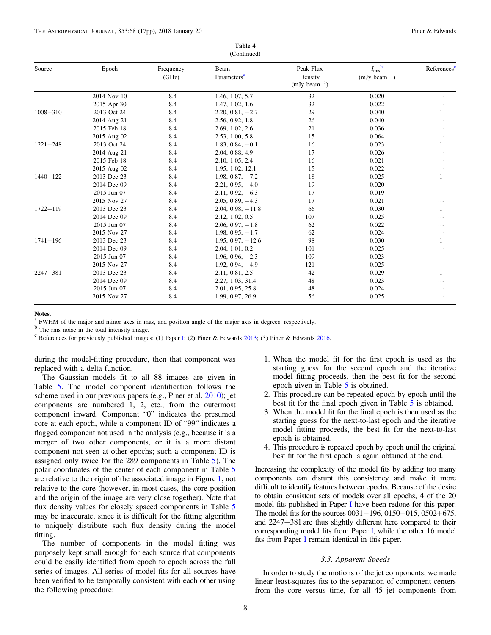<span id="page-8-0"></span>

| Source       |             |                    | Beam                    | Peak Flux                    | $I_{\rm rms}^{\quad \  b}$ | References |
|--------------|-------------|--------------------|-------------------------|------------------------------|----------------------------|------------|
|              | Epoch       | Frequency<br>(GHz) | Parameters <sup>a</sup> | Density<br>$(mJy beam^{-1})$ | $(mJy beam^{-1})$          |            |
|              | 2014 Nov 10 | 8.4                | 1.46, 1.07, 5.7         | 32                           | 0.020                      | $\cdots$   |
|              | 2015 Apr 30 | 8.4                | 1.47, 1.02, 1.6         | 32                           | 0.022                      | $\cdots$   |
| $1008 - 310$ | 2013 Oct 24 | 8.4                | $2.20, 0.81, -2.7$      | 29                           | 0.040                      |            |
|              | 2014 Aug 21 | 8.4                | 2.56, 0.92, 1.8         | 26                           | 0.040                      | $\cdots$   |
|              | 2015 Feb 18 | 8.4                | 2.69, 1.02, 2.6         | 21                           | 0.036                      | $\cdots$   |
|              | 2015 Aug 02 | 8.4                | 2.53, 1.00, 5.8         | 15                           | 0.064                      | $\cdots$   |
| $1221 + 248$ | 2013 Oct 24 | 8.4                | $1.83, 0.84, -0.1$      | 16                           | 0.023                      |            |
|              | 2014 Aug 21 | 8.4                | 2.04, 0.88, 4.9         | 17                           | 0.026                      | $\cdots$   |
|              | 2015 Feb 18 | 8.4                | 2.10, 1.05, 2.4         | 16                           | 0.021                      | $\cdots$   |
|              | 2015 Aug 02 | 8.4                | 1.95, 1.02, 12.1        | 15                           | 0.022                      | $\cdots$   |
| $1440 + 122$ | 2013 Dec 23 | 8.4                | $1.98, 0.87, -7.2$      | 18                           | 0.025                      |            |
|              | 2014 Dec 09 | 8.4                | $2.21, 0.95, -4.0$      | 19                           | 0.020                      | $\cdots$   |
|              | 2015 Jun 07 | 8.4                | $2.11, 0.92, -6.3$      | 17                           | 0.019                      | $\cdots$   |
|              | 2015 Nov 27 | 8.4                | $2.05, 0.89, -4.3$      | 17                           | 0.021                      | $\cdots$   |
| $1722 + 119$ | 2013 Dec 23 | 8.4                | $2.04, 0.98, -11.8$     | 66                           | 0.030                      |            |
|              | 2014 Dec 09 | 8.4                | 2.12, 1.02, 0.5         | 107                          | 0.025                      | $\cdots$   |
|              | 2015 Jun 07 | 8.4                | $2.06, 0.97, -1.8$      | 62                           | 0.022                      | $\cdots$   |
|              | 2015 Nov 27 | 8.4                | $1.98, 0.95, -1.7$      | 62                           | 0.024                      | $\cdots$   |
| $1741 + 196$ | 2013 Dec 23 | 8.4                | $1.95, 0.97, -12.6$     | 98                           | 0.030                      |            |
|              | 2014 Dec 09 | 8.4                | 2.04, 1.01, 0.2         | 101                          | 0.025                      | .          |
|              | 2015 Jun 07 | 8.4                | $1.96, 0.96, -2.3$      | 109                          | 0.023                      | $\cdots$   |
|              | 2015 Nov 27 | 8.4                | $1.92, 0.94, -4.9$      | 121                          | 0.025                      | $\cdots$   |
| $2247 + 381$ | 2013 Dec 23 | 8.4                | 2.11, 0.81, 2.5         | 42                           | 0.029                      |            |
|              | 2014 Dec 09 | 8.4                | 2.27, 1.03, 31.4        | 48                           | 0.023                      | $\cdots$   |
|              | 2015 Jun 07 | 8.4                | 2.01, 0.95, 25.8        | 48                           | 0.024                      | .          |
|              | 2015 Nov 27 | 8.4                | 1.99, 0.97, 26.9        | 56                           | 0.025                      | $\cdots$   |
|              |             |                    |                         |                              |                            |            |

Table 4

# Notes.

FWHM of the major and minor axes in mas, and position angle of the major axis in degrees; respectively.

<sup>b</sup> The rms noise in the total intensity image.

<sup>c</sup> References for previously published images: (1) Paper [I](#page-17-0); (2) Piner & Edwards [2013](#page-17-0); (3) Piner & Edwards [2016](#page-17-0).

during the model-fitting procedure, then that component was replaced with a delta function.

The Gaussian models fit to all 88 images are given in Table [5.](#page-11-0) The model component identification follows the scheme used in our previous papers (e.g., Piner et al. [2010](#page-17-0)); jet components are numbered 1, 2, etc., from the outermost component inward. Component "0" indicates the presumed core at each epoch, while a component ID of "99" indicates a flagged component not used in the analysis (e.g., because it is a merger of two other components, or it is a more distant component not seen at other epochs; such a component ID is assigned only twice for the 289 components in Table [5](#page-11-0)). The polar coordinates of the center of each component in Table [5](#page-11-0) are relative to the origin of the associated image in Figure [1](#page-6-0), not relative to the core (however, in most cases, the core position and the origin of the image are very close together). Note that flux density values for closely spaced components in Table [5](#page-11-0) may be inaccurate, since it is difficult for the fitting algorithm to uniquely distribute such flux density during the model fitting.

The number of components in the model fitting was purposely kept small enough for each source that components could be easily identified from epoch to epoch across the full series of images. All series of model fits for all sources have been verified to be temporally consistent with each other using the following procedure:

- 1. When the model fit for the first epoch is used as the starting guess for the second epoch and the iterative model fitting proceeds, then the best fit for the second epoch given in Table [5](#page-11-0) is obtained.
- 2. This procedure can be repeated epoch by epoch until the best fit for the final epoch given in Table [5](#page-11-0) is obtained.
- 3. When the model fit for the final epoch is then used as the starting guess for the next-to-last epoch and the iterative model fitting proceeds, the best fit for the next-to-last epoch is obtained.
- 4. This procedure is repeated epoch by epoch until the original best fit for the first epoch is again obtained at the end.

Increasing the complexity of the model fits by adding too many components can disrupt this consistency and make it more difficult to identify features between epochs. Because of the desire to obtain consistent sets of models over all epochs, 4 of the 20 model fits published in Paper [I](#page-17-0) have been redone for this paper. The model fits for the sources 0031–196, 0150+015, 0502+675, and 2247+381 are thus slightly different here compared to their corresponding model fits from Paper [I,](#page-17-0) while the other 16 model fits from Paper [I](#page-17-0) remain identical in this paper.

# 3.3. Apparent Speeds

In order to study the motions of the jet components, we made linear least-squares fits to the separation of component centers from the core versus time, for all 45 jet components from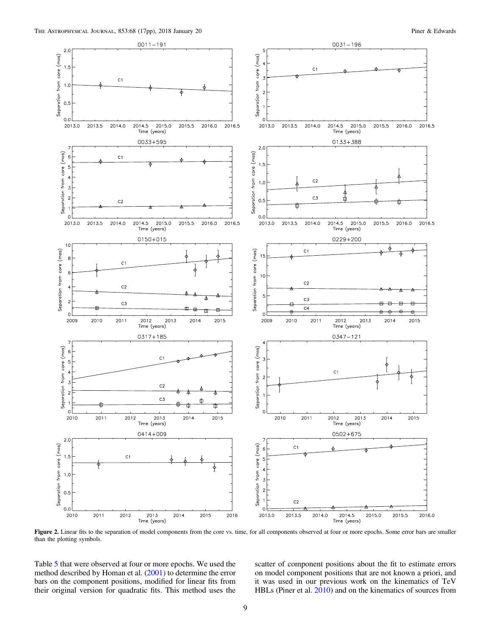<span id="page-9-0"></span>

Figure 2. Linear fits to the separation of model components from the core vs. time, for all components observed at four or more epochs. Some error bars are smaller than the plotting symbols.

Table [5](#page-11-0) that were observed at four or more epochs. We used the method described by Homan et al. ([2001](#page-17-0)) to determine the error bars on the component positions, modified for linear fits from their original version for quadratic fits. This method uses the

scatter of component positions about the fit to estimate errors on model component positions that are not known a priori, and it was used in our previous work on the kinematics of TeV HBLs (Piner et al. [2010](#page-17-0)) and on the kinematics of sources from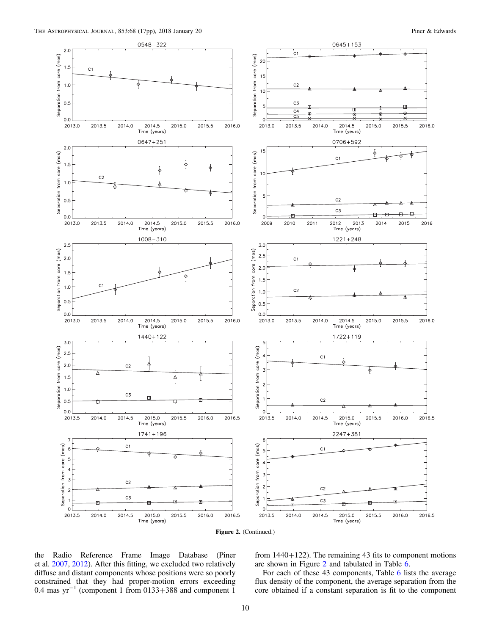

Figure 2. (Continued.)

the Radio Reference Frame Image Database (Piner et al. [2007,](#page-17-0) [2012](#page-17-0)). After this fitting, we excluded two relatively diffuse and distant components whose positions were so poorly constrained that they had proper-motion errors exceeding 0.4 mas yr−<sup>1</sup> (component 1 from 0133+388 and component 1

from 1440+122). The remaining 43 fits to component motions are shown in Figure [2](#page-9-0) and tabulated in Table [6.](#page-12-0)

For each of these 43 components, Table [6](#page-12-0) lists the average flux density of the component, the average separation from the core obtained if a constant separation is fit to the component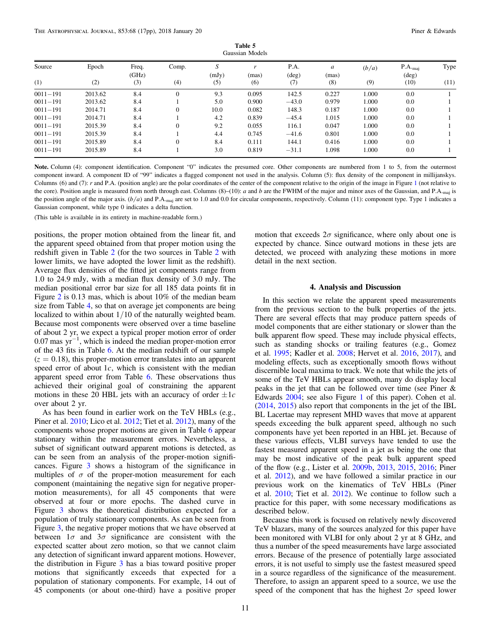Table 5 Gaussian Models

<span id="page-11-0"></span>

| Source       | Epoch   | Freq.<br>(GHz) | Comp.    | S<br>(mJy) | (mas) | P.A.<br>$(\text{deg})$ | a<br>(mas) | (b/a) | $P.A._{mai}$<br>$(\text{deg})$ | Type |
|--------------|---------|----------------|----------|------------|-------|------------------------|------------|-------|--------------------------------|------|
| (1)          | (2)     | (3)            | (4)      | (5)        | (6)   | (7)                    | (8)        | (9)   | (10)                           | (11) |
| $0011 - 191$ | 2013.62 | 8.4            |          | 9.3        | 0.095 | 142.5                  | 0.227      | 000.1 | 0.0                            |      |
| $0011 - 191$ | 2013.62 | 8.4            |          | 5.0        | 0.900 | $-43.0$                | 0.979      | 1.000 | 0.0                            |      |
| $0011 - 191$ | 2014.71 | 8.4            |          | 10.0       | 0.082 | 148.3                  | 0.187      | 1.000 | 0.0                            |      |
| $0011 - 191$ | 2014.71 | 8.4            |          | 4.2        | 0.839 | $-45.4$                | 1.015      | 1.000 | 0.0                            |      |
| $0011 - 191$ | 2015.39 | 8.4            |          | 9.2        | 0.055 | 116.1                  | 0.047      | 1.000 | 0.0                            |      |
| $0011 - 191$ | 2015.39 | 8.4            |          | 4.4        | 0.745 | $-41.6$                | 0.801      | 1.000 | 0.0                            |      |
| $0011 - 191$ | 2015.89 | 8.4            | $\Omega$ | 8.4        | 0.111 | 144.1                  | 0.416      | 1.000 | 0.0                            |      |
| $0011 - 191$ | 2015.89 | 8.4            |          | 3.0        | 0.819 | $-31.1$                | 1.098      | 1.000 | 0.0                            |      |

Note. Column (4): component identification. Component "0" indicates the presumed core. Other components are numbered from 1 to 5, from the outermost component inward. A component ID of "99" indicates a flagged component not used in the analysis. Column (5): flux density of the component in millijanskys. Columns (6) and (7): r and P.A. (position angle) are the polar coordinates of the center of the component relative to the origin of the image in Figure [1](#page-6-0) (not relative to the core). Position angle is measured from north through east. Columns  $(8)$ – $(10)$ : a and b are the FWHM of the major and minor axes of the Gaussian, and P.A.<sub>maj</sub> is the position angle of the major axis.  $(b/a)$  and P.A.<sub>maj</sub> are set to 1.0 and 0.0 for circular components, respectively. Column (11): component type. Type 1 indicates a Gaussian component, while type 0 indicates a delta function.

(This table is available in its entirety in machine-readable form.)

positions, the proper motion obtained from the linear fit, and the apparent speed obtained from that proper motion using the redshift given in Table [2](#page-4-0) (for the two sources in Table [2](#page-4-0) with lower limits, we have adopted the lower limit as the redshift). Average flux densities of the fitted jet components range from 1.0 to 24.9 mJy, with a median flux density of 3.0 mJy. The median positional error bar size for all 185 data points fit in Figure [2](#page-9-0) is 0.13 mas, which is about 10% of the median beam size from Table [4](#page-7-0), so that on average jet components are being localized to within about 1/10 of the naturally weighted beam. Because most components were observed over a time baseline of about 2 yr, we expect a typical proper motion error of order 0.07 mas yr−<sup>1</sup> , which is indeed the median proper-motion error of the 43 fits in Table [6](#page-12-0). At the median redshift of our sample  $(z = 0.18)$ , this proper-motion error translates into an apparent speed error of about 1*c*, which is consistent with the median apparent speed error from Table [6.](#page-12-0) These observations thus achieved their original goal of constraining the apparent motions in these 20 HBL jets with an accuracy of order  $\pm 1c$ over about 2 yr.

As has been found in earlier work on the TeV HBLs (e.g., Piner et al. [2010](#page-17-0); Lico et al. [2012](#page-17-0); Tiet et al. [2012](#page-17-0)), many of the components whose proper motions are given in Table [6](#page-12-0) appear stationary within the measurement errors. Nevertheless, a subset of significant outward apparent motions is detected, as can be seen from an analysis of the proper-motion significances. Figure [3](#page-13-0) shows a histogram of the significance in multiples of  $\sigma$  of the proper-motion measurement for each component (maintaining the negative sign for negative propermotion measurements), for all 45 components that were observed at four or more epochs. The dashed curve in Figure [3](#page-13-0) shows the theoretical distribution expected for a population of truly stationary components. As can be seen from Figure [3](#page-13-0), the negative proper motions that we have observed at between  $1\sigma$  and  $3\sigma$  significance are consistent with the expected scatter about zero motion, so that we cannot claim any detection of significant inward apparent motions. However, the distribution in Figure [3](#page-13-0) has a bias toward positive proper motions that significantly exceeds that expected for a population of stationary components. For example, 14 out of 45 components (or about one-third) have a positive proper

motion that exceeds  $2\sigma$  significance, where only about one is expected by chance. Since outward motions in these jets are detected, we proceed with analyzing these motions in more detail in the next section.

### 4. Analysis and Discussion

In this section we relate the apparent speed measurements from the previous section to the bulk properties of the jets. There are several effects that may produce pattern speeds of model components that are either stationary or slower than the bulk apparent flow speed. These may include physical effects, such as standing shocks or trailing features (e.g., Gomez et al. [1995](#page-17-0); Kadler et al. [2008;](#page-17-0) Hervet et al. [2016,](#page-17-0) [2017](#page-17-0)), and modeling effects, such as exceptionally smooth flows without discernible local maxima to track. We note that while the jets of some of the TeV HBLs appear smooth, many do display local peaks in the jet that can be followed over time (see Piner & Edwards [2004](#page-17-0); see also Figure [1](#page-6-0) of this paper). Cohen et al. ([2014](#page-17-0), [2015](#page-17-0)) also report that components in the jet of the IBL BL Lacertae may represent MHD waves that move at apparent speeds exceeding the bulk apparent speed, although no such components have yet been reported in an HBL jet. Because of these various effects, VLBI surveys have tended to use the fastest measured apparent speed in a jet as being the one that may be most indicative of the peak bulk apparent speed of the flow (e.g., Lister et al. [2009b](#page-17-0), [2013](#page-17-0), [2015](#page-17-0), [2016](#page-17-0); Piner et al. [2012](#page-17-0)), and we have followed a similar practice in our previous work on the kinematics of TeV HBLs (Piner et al. [2010;](#page-17-0) Tiet et al. [2012](#page-17-0)). We continue to follow such a practice for this paper, with some necessary modifications as described below.

Because this work is focused on relatively newly discovered TeV blazars, many of the sources analyzed for this paper have been monitored with VLBI for only about 2 yr at 8 GHz, and thus a number of the speed measurements have large associated errors. Because of the presence of potentially large associated errors, it is not useful to simply use the fastest measured speed in a source regardless of the significance of the measurement. Therefore, to assign an apparent speed to a source, we use the speed of the component that has the highest  $2\sigma$  speed lower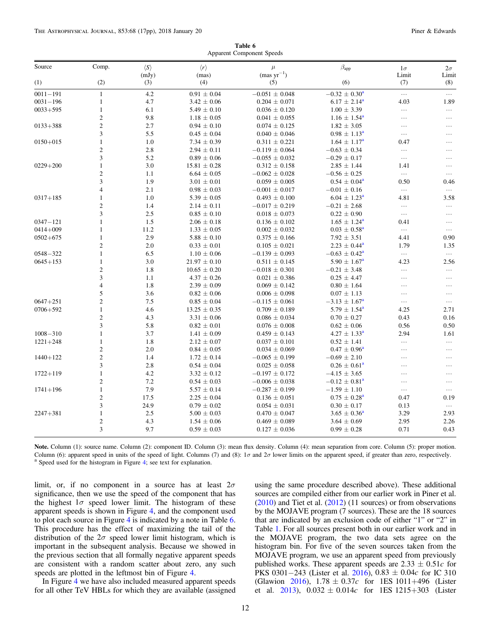Table 6 Apparent Component Speeds

<span id="page-12-0"></span>

| Source       | Comp.                   | $\langle S \rangle$ | $\langle r \rangle$ | $\mu$                  | $\beta_{\rm app}$        | $1\sigma$    | $2\sigma$    |
|--------------|-------------------------|---------------------|---------------------|------------------------|--------------------------|--------------|--------------|
| (1)          | (2)                     | (mJy)<br>(3)        | (mas)<br>(4)        | $(mas yr^{-1})$<br>(5) | (6)                      | Limit<br>(7) | Limit<br>(8) |
| $0011 - 191$ | $\mathbf{1}$            | 4.2                 | $0.91 \pm 0.04$     | $-0.051 \pm 0.048$     | $-0.32 \pm 0.30^{\circ}$ | $\cdots$     | $\cdots$     |
| $0031 - 196$ | $\mathbf{1}$            | 4.7                 | $3.42 \pm 0.06$     | $0.204 \pm 0.071$      | $6.17 \pm 2.14^a$        | 4.03         | 1.89         |
| $0033 + 595$ | $\mathbf{1}$            | 6.1                 | $5.49 \pm 0.10$     | $0.036 \pm 0.120$      | $1.00 \pm 3.39$          | $\ldots$     | $\ldots$     |
|              | $\overline{c}$          | 9.8                 | $1.18 \pm 0.05$     | $0.041 \pm 0.055$      | $1.16 \pm 1.54^{\circ}$  | $\ldots$     | $\cdots$     |
| $0133 + 388$ | $\sqrt{2}$              | 2.7                 | $0.94 \pm 0.10$     | $0.074 \pm 0.125$      | $1.82 \pm 3.05$          | $\cdots$     | $\cdots$     |
|              | 3                       | 5.5                 | $0.45 \pm 0.04$     | $0.040 \pm 0.046$      | $0.98 \pm 1.13^{\circ}$  | $\ldots$     | $\cdots$     |
| $0150 + 015$ | $\mathbf{1}$            | 1.0                 | $7.34 \pm 0.39$     | $0.311 \pm 0.221$      | $1.64 \pm 1.17^{\rm a}$  | 0.47         | $\cdots$     |
|              | $\boldsymbol{2}$        | 2.8                 | $2.94 \pm 0.11$     | $-0.119 \pm 0.064$     | $-0.63 \pm 0.34$         | $\ldots$     | $\cdots$     |
|              | 3                       | 5.2                 | $0.89 \pm 0.06$     | $-0.055 \pm 0.032$     | $-0.29 \pm 0.17$         | $\ldots$     | $\cdots$     |
| $0229 + 200$ | $\mathbf{1}$            | 3.0                 | $15.81 \pm 0.28$    | $0.312 \pm 0.158$      | $2.85 \pm 1.44$          | 1.41         | $\cdots$     |
|              | $\sqrt{2}$              | 1.1                 | $6.64 \pm 0.05$     | $-0.062 \pm 0.028$     | $-0.56 \pm 0.25$         | $\ldots$     | $\cdots$     |
|              | 3                       | 1.9                 | $3.01 \pm 0.01$     | $0.059 \pm 0.005$      | $0.54 \pm 0.04^{\circ}$  | 0.50         | 0.46         |
|              | $\overline{4}$          | 2.1                 | $0.98 \pm 0.03$     | $-0.001 \pm 0.017$     | $-0.01 \pm 0.16$         | $\ldots$     | $\ldots$     |
| $0317 + 185$ | $\mathbf{1}$            | 1.0                 | $5.39 \pm 0.05$     | $0.493 \pm 0.100$      | $6.04 \pm 1.23^{\circ}$  | 4.81         | 3.58         |
|              | $\boldsymbol{2}$        | 1.4                 | $2.14\,\pm\,0.11$   | $-0.017 \pm 0.219$     | $-0.21 \pm 2.68$         | $\ldots$     | $\cdots$     |
|              | 3                       | 2.5                 | $0.85 \pm 0.10$     | $0.018 \pm 0.073$      | $0.22 \pm 0.90$          | $\ldots$     | $\ldots$     |
| $0347 - 121$ | $\mathbf{1}$            | 1.5                 | $2.06 \pm 0.18$     | $0.136 \pm 0.102$      | $1.65 \pm 1.24^{\circ}$  | 0.41         | $\ldots$     |
| $0414 + 009$ | $\mathbf{1}$            | 11.2                | $1.33 \pm 0.05$     | $0.002 \pm 0.032$      | $0.03 \pm 0.58^{\rm a}$  | $\ldots$     | $\ldots$     |
| $0502 + 675$ | $\mathbf{1}$            | 2.9                 | $5.88 \pm 0.10$     | $0.375 \pm 0.166$      | $7.92 \pm 3.51$          | 4.41         | 0.90         |
|              | $\mathbf{2}$            | $2.0\,$             | $0.33 \pm 0.01$     | $0.105 \pm 0.021$      | $2.23 \pm 0.44^{\circ}$  | 1.79         | 1.35         |
| $0548 - 322$ | $\mathbf{1}$            | 6.5                 | $1.10 \pm 0.06$     | $-0.139 \pm 0.093$     | $-0.63 \pm 0.42^{\rm a}$ | $\ldots$     | $\ldots$     |
| $0645 + 153$ | $\mathbf{1}$            | 3.0                 | $21.97 \pm 0.10$    | $0.511 \pm 0.145$      | $5.90 \pm 1.67^{\circ}$  | 4.23         | 2.56         |
|              | $\boldsymbol{2}$        | 1.8                 | $10.65 \pm 0.20$    | $-0.018 \pm 0.301$     | $-0.21 \pm 3.48$         | $\ldots$     | $\ldots$     |
|              | 3                       | 1.1                 | $4.37 \pm 0.26$     | $0.021 \pm 0.386$      | $0.25 \pm 4.47$          | $\ldots$     | $\cdots$     |
|              | $\overline{\mathbf{4}}$ | 1.8                 | $2.39 \pm 0.09$     | $0.069 \pm 0.142$      | $0.80 \pm 1.64$          | $\cdots$     | $\ldots$     |
|              | 5                       | 3.6                 | $0.82 \pm 0.06$     | $0.006 \pm 0.098$      | $0.07 \pm 1.13$          | $\ldots$     | $\cdots$     |
| $0647 + 251$ | $\sqrt{2}$              | 7.5                 | $0.85 \pm 0.04$     | $-0.115 \pm 0.061$     | $-3.13 \pm 1.67^{\rm a}$ | $\ldots$     | $\ldots$     |
| $0706 + 592$ | $\mathbf{1}$            | 4.6                 | $13.25 \pm 0.35$    | $0.709 \pm 0.189$      | $5.79 \pm 1.54^{\circ}$  | 4.25         | 2.71         |
|              | $\sqrt{2}$              | 4.3                 | $3.31 \pm 0.06$     | $0.086 \pm 0.034$      | $0.70 \pm 0.27$          | 0.43         | 0.16         |
|              | 3                       | 5.8                 | $0.82 \pm 0.01$     | $0.076 \pm 0.008$      | $0.62 \pm 0.06$          | 0.56         | 0.50         |
| $1008 - 310$ | 1                       | 3.7                 | $1.41 \pm 0.09$     | $0.459 \pm 0.143$      | $4.27 \pm 1.33^{\circ}$  | 2.94         | 1.61         |
| $1221 + 248$ | $\mathbf{1}$            | 1.8                 | $2.12 \pm 0.07$     | $0.037 \pm 0.101$      | $0.52 \pm 1.41$          | $\ldots$     | $\ldots$     |
|              | $\overline{\mathbf{c}}$ | 2.0                 | $0.84 \pm 0.05$     | $0.034 \pm 0.069$      | $0.47 \pm 0.96^{\circ}$  | $\ldots$     | $\cdots$     |
| $1440 + 122$ | $\overline{c}$          | 1.4                 | $1.72 \pm 0.14$     | $-0.065 \pm 0.199$     | $-0.69 \pm 2.10$         | $\ldots$     | $\ldots$     |
|              | 3                       | 2.8                 | $0.54 \pm 0.04$     | $0.025 \pm 0.058$      | $0.26 \pm 0.61^a$        | $\ldots$     | $\ldots$     |
| $1722 + 119$ | $\mathbf{1}$            | 4.2                 | $3.32 \pm 0.12$     | $-0.197 \pm 0.172$     | $-4.15 \pm 3.65$         | $\cdots$     | $\ldots$     |
|              | $\mathbf{2}$            | 7.2                 | $0.54 \pm 0.03$     | $-0.006 \pm 0.038$     | $-0.12 \pm 0.81^a$       | $\ldots$     | $\cdots$     |
| $1741 + 196$ | $\mathbf{1}$            | 7.9                 | $5.57 \pm 0.14$     | $-0.287 \pm 0.199$     | $-1.59 \pm 1.10$         | $\ldots$     | $\ldots$     |
|              | $\mathfrak{2}$          | 17.5                | $2.25 \pm 0.04$     | $0.136 \pm 0.051$      | $0.75 \pm 0.28^{\circ}$  | 0.47         | 0.19         |
|              | 3                       | 24.9                | $0.79 \pm 0.02$     | $0.054 \pm 0.031$      | $0.30 \pm 0.17$          | 0.13         | $\ldots$     |
| $2247 + 381$ | $\mathbf{1}$            | 2.5                 | $5.00 \pm 0.03$     | $0.470 \pm 0.047$      | $3.65 \pm 0.36^{\circ}$  | 3.29         | 2.93         |
|              | $\boldsymbol{2}$        | 4.3                 | $1.54 \pm 0.06$     | $0.469 \pm 0.089$      | $3.64 \pm 0.69$          | 2.95         | 2.26         |
|              | 3                       | 9.7                 | $0.59 \pm 0.03$     | $0.127 \pm 0.036$      | $0.99 \pm 0.28$          | 0.71         | 0.43         |
|              |                         |                     |                     |                        |                          |              |              |

Note. Column (1): source name. Column (2): component ID. Column (3): mean flux density. Column (4): mean separation from core. Column (5): proper motion. Column (6): apparent speed in units of the speed of light. Columns (7) and (8):  $1\sigma$  and  $2\sigma$  lower limits on the apparent speed, if greater than zero, respectively.<br><sup>a</sup> Speed used for the histogram in Figure [4;](#page-13-0) see tex

limit, or, if no component in a source has at least  $2\sigma$ significance, then we use the speed of the component that has the highest  $1\sigma$  speed lower limit. The histogram of these apparent speeds is shown in Figure [4](#page-13-0), and the component used to plot each source in Figure [4](#page-13-0) is indicated by a note in Table 6. This procedure has the effect of maximizing the tail of the distribution of the  $2\sigma$  speed lower limit histogram, which is important in the subsequent analysis. Because we showed in the previous section that all formally negative apparent speeds are consistent with a random scatter about zero, any such speeds are plotted in the leftmost bin of Figure [4.](#page-13-0)

In Figure [4](#page-13-0) we have also included measured apparent speeds for all other TeV HBLs for which they are available (assigned

using the same procedure described above). These additional sources are compiled either from our earlier work in Piner et al. ([2010](#page-17-0)) and Tiet et al. ([2012](#page-17-0)) (11 sources) or from observations by the MOJAVE program (7 sources). These are the 18 sources that are indicated by an exclusion code of either "1" or "2" in Table [1](#page-3-0). For all sources present both in our earlier work and in the MOJAVE program, the two data sets agree on the histogram bin. For five of the seven sources taken from the MOJAVE program, we use an apparent speed from previously published works. These apparent speeds are  $2.33 \pm 0.51c$  for PKS 0301−243 (Lister et al. [2016](#page-17-0)), 0.83 ± 0.04c for IC 310 (Glawion [2016](#page-17-0)),  $1.78 \pm 0.37c$  for 1ES 1011+496 (Lister et al. [2013](#page-17-0)),  $0.032 \pm 0.014c$  for 1ES 1215+303 (Lister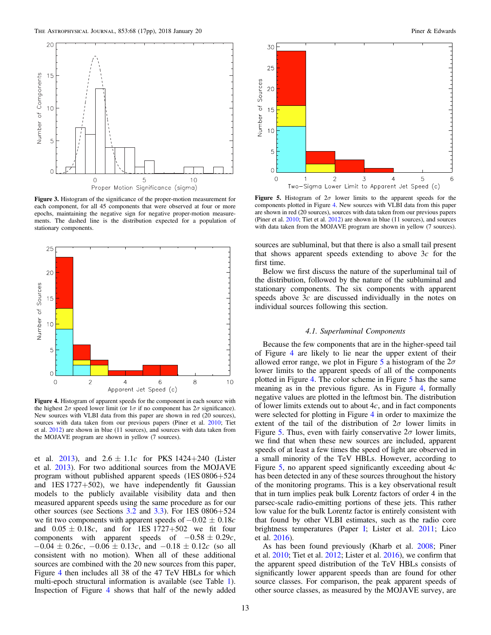<span id="page-13-0"></span>

Figure 3. Histogram of the significance of the proper-motion measurement for each component, for all 45 components that were observed at four or more epochs, maintaining the negative sign for negative proper-motion measurements. The dashed line is the distribution expected for a population of stationary components.



Figure 4. Histogram of apparent speeds for the component in each source with the highest  $2\sigma$  speed lower limit (or  $1\sigma$  if no component has  $2\sigma$  significance). New sources with VLBI data from this paper are shown in red (20 sources), sources with data taken from our previous papers (Piner et al. [2010](#page-17-0); Tiet et al. [2012](#page-17-0)) are shown in blue (11 sources), and sources with data taken from the MOJAVE program are shown in yellow (7 sources).

et al. [2013](#page-17-0)), and  $2.6 \pm 1.1c$  for PKS 1424+240 (Lister et al. [2013](#page-17-0)). For two additional sources from the MOJAVE program without published apparent speeds (1ES 0806+524 and 1ES 1727+502), we have independently fit Gaussian models to the publicly available visibility data and then measured apparent speeds using the same procedure as for our other sources (see Sections [3.2](#page-5-0) and [3.3](#page-8-0)). For 1ES 0806+524 we fit two components with apparent speeds of  $-0.02 \pm 0.18$  *c* and  $0.05 \pm 0.18c$ , and for 1ES 1727+502 we fit four components with apparent speeds of  $-0.58 \pm 0.29c$ ,  $-0.04 \pm 0.26c$ ,  $-0.06 \pm 0.13c$ , and  $-0.18 \pm 0.12c$  (so all consistent with no motion). When all of these additional sources are combined with the 20 new sources from this paper, Figure 4 then includes all 38 of the 47 TeV HBLs for which multi-epoch structural information is available (see Table [1](#page-3-0)). Inspection of Figure 4 shows that half of the newly added



**Figure 5.** Histogram of  $2\sigma$  lower limits to the apparent speeds for the components plotted in Figure 4. New sources with VLBI data from this paper are shown in red (20 sources), sources with data taken from our previous papers (Piner et al. [2010;](#page-17-0) Tiet et al. [2012](#page-17-0)) are shown in blue (11 sources), and sources with data taken from the MOJAVE program are shown in yellow (7 sources).

sources are subluminal, but that there is also a small tail present that shows apparent speeds extending to above 3*c* for the first time.

Below we first discuss the nature of the superluminal tail of the distribution, followed by the nature of the subluminal and stationary components. The six components with apparent speeds above 3*c* are discussed individually in the notes on individual sources following this section.

### 4.1. Superluminal Components

Because the few components that are in the higher-speed tail of Figure 4 are likely to lie near the upper extent of their allowed error range, we plot in Figure 5 a histogram of the  $2\sigma$ lower limits to the apparent speeds of all of the components plotted in Figure 4. The color scheme in Figure 5 has the same meaning as in the previous figure. As in Figure 4, formally negative values are plotted in the leftmost bin. The distribution of lower limits extends out to about 4*c*, and in fact components were selected for plotting in Figure 4 in order to maximize the extent of the tail of the distribution of  $2\sigma$  lower limits in Figure 5. Thus, even with fairly conservative  $2\sigma$  lower limits, we find that when these new sources are included, apparent speeds of at least a few times the speed of light are observed in a small minority of the TeV HBLs. However, according to Figure 5, no apparent speed significantly exceeding about 4*c* has been detected in any of these sources throughout the history of the monitoring programs. This is a key observational result that in turn implies peak bulk Lorentz factors of order 4 in the parsec-scale radio-emitting portions of these jets. This rather low value for the bulk Lorentz factor is entirely consistent with that found by other VLBI estimates, such as the radio core brightness temperatures (Paper [I](#page-17-0); Lister et al. [2011](#page-17-0); Lico et al. [2016](#page-17-0)).

As has been found previously (Kharb et al. [2008](#page-17-0); Piner et al. [2010;](#page-17-0) Tiet et al. [2012](#page-17-0); Lister et al. [2016](#page-17-0)), we confirm that the apparent speed distribution of the TeV HBLs consists of significantly lower apparent speeds than are found for other source classes. For comparison, the peak apparent speeds of other source classes, as measured by the MOJAVE survey, are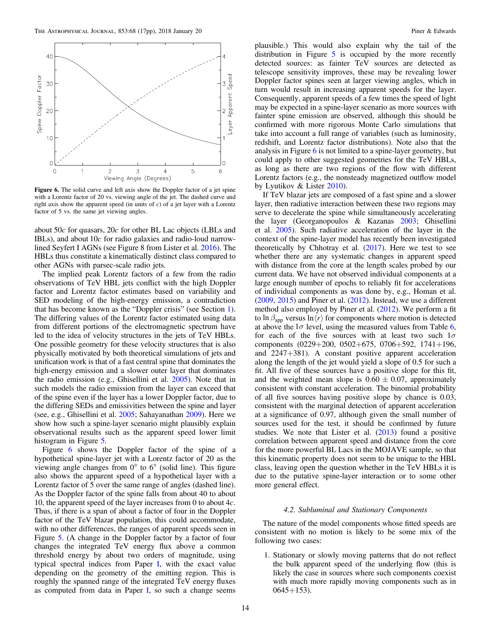<span id="page-14-0"></span>

Figure 6. The solid curve and left axis show the Doppler factor of a jet spine with a Lorentz factor of 20 vs. viewing angle of the jet. The dashed curve and right axis show the apparent speed (in units of  $c$ ) of a jet layer with a Lorentz factor of 5 vs. the same jet viewing angles.

about 50*c* for quasars, 20*c* for other BL Lac objects (LBLs and IBLs), and about 10*c* for radio galaxies and radio-loud narrowlined Seyfert I AGNs (see Figure 8 from Lister et al. [2016](#page-17-0)). The HBLs thus constitute a kinematically distinct class compared to other AGNs with parsec-scale radio jets.

The implied peak Lorentz factors of a few from the radio observations of TeV HBL jets conflict with the high Doppler factor and Lorentz factor estimates based on variability and SED modeling of the high-energy emission, a contradiction that has become known as the "Doppler crisis" (see Section [1](#page-1-0)). The differing values of the Lorentz factor estimated using data from different portions of the electromagnetic spectrum have led to the idea of velocity structures in the jets of TeV HBLs. One possible geometry for these velocity structures that is also physically motivated by both theoretical simulations of jets and unification work is that of a fast central spine that dominates the high-energy emission and a slower outer layer that dominates the radio emission (e.g., Ghisellini et al. [2005](#page-17-0)). Note that in such models the radio emission from the layer can exceed that of the spine even if the layer has a lower Doppler factor, due to the differing SEDs and emissivities between the spine and layer (see, e.g., Ghisellini et al. [2005](#page-17-0); Sahayanathan [2009](#page-17-0)). Here we show how such a spine-layer scenario might plausibly explain observational results such as the apparent speed lower limit histogram in Figure [5.](#page-13-0)

Figure 6 shows the Doppler factor of the spine of a hypothetical spine-layer jet with a Lorentz factor of 20 as the viewing angle changes from  $0^{\circ}$  to  $6^{\circ}$  (solid line). This figure also shows the apparent speed of a hypothetical layer with a Lorentz factor of 5 over the same range of angles (dashed line). As the Doppler factor of the spine falls from about 40 to about 10, the apparent speed of the layer increases from 0 to about 4*c*. Thus, if there is a span of about a factor of four in the Doppler factor of the TeV blazar population, this could accommodate, with no other differences, the ranges of apparent speeds seen in Figure [5](#page-13-0). (A change in the Doppler factor by a factor of four changes the integrated TeV energy flux above a common threshold energy by about two orders of magnitude, using typical spectral indices from Paper [I,](#page-17-0) with the exact value depending on the geometry of the emitting region. This is roughly the spanned range of the integrated TeV energy fluxes as computed from data in Paper [I,](#page-17-0) so such a change seems

plausible.) This would also explain why the tail of the distribution in Figure [5](#page-13-0) is occupied by the more recently detected sources: as fainter TeV sources are detected as telescope sensitivity improves, these may be revealing lower Doppler factor spines seen at larger viewing angles, which in turn would result in increasing apparent speeds for the layer. Consequently, apparent speeds of a few times the speed of light may be expected in a spine-layer scenario as more sources with fainter spine emission are observed, although this should be confirmed with more rigorous Monte Carlo simulations that take into account a full range of variables (such as luminosity, redshift, and Lorentz factor distributions). Note also that the analysis in Figure 6 is not limited to a spine-layer geometry, but could apply to other suggested geometries for the TeV HBLs, as long as there are two regions of the flow with different Lorentz factors (e.g., the nonsteady magnetized outflow model by Lyutikov & Lister [2010](#page-17-0)).

If TeV blazar jets are composed of a fast spine and a slower layer, then radiative interaction between these two regions may serve to decelerate the spine while simultaneously accelerating the layer (Georganopoulos & Kazanas [2003](#page-17-0); Ghisellini et al. [2005](#page-17-0)). Such radiative acceleration of the layer in the context of the spine-layer model has recently been investigated theoretically by Chhotray et al. ([2017](#page-17-0)). Here we test to see whether there are any systematic changes in apparent speed with distance from the core at the length scales probed by our current data. We have not observed individual components at a large enough number of epochs to reliably fit for accelerations of individual components as was done by, e.g., Homan et al. ([2009](#page-17-0), [2015](#page-17-0)) and Piner et al. ([2012](#page-17-0)). Instead, we use a different method also employed by Piner et al. ([2012](#page-17-0)). We perform a fit to ln  $\beta_{\text{app}}$  versus ln $\langle r \rangle$  for components where motion is detected at above the  $1\sigma$  level, using the measured values from Table [6](#page-12-0), for each of the five sources with at least two such  $1\sigma$ components (0229+200, 0502+675, 0706+592, 1741+196, and 2247+381). A constant positive apparent acceleration along the length of the jet would yield a slope of 0.5 for such a fit. All five of these sources have a positive slope for this fit, and the weighted mean slope is  $0.60 \pm 0.07$ , approximately consistent with constant acceleration. The binomial probability of all five sources having positive slope by chance is 0.03, consistent with the marginal detection of apparent acceleration at a significance of 0.97, although given the small number of sources used for the test, it should be confirmed by future studies. We note that Lister et al. ([2013](#page-17-0)) found a positive correlation between apparent speed and distance from the core for the more powerful BL Lacs in the MOJAVE sample, so that this kinematic property does not seem to be unique to the HBL class, leaving open the question whether in the TeV HBLs it is due to the putative spine-layer interaction or to some other more general effect.

# 4.2. Subluminal and Stationary Components

The nature of the model components whose fitted speeds are consistent with no motion is likely to be some mix of the following two cases:

1. Stationary or slowly moving patterns that do not reflect the bulk apparent speed of the underlying flow (this is likely the case in sources where such components coexist with much more rapidly moving components such as in  $0645 + 153$ .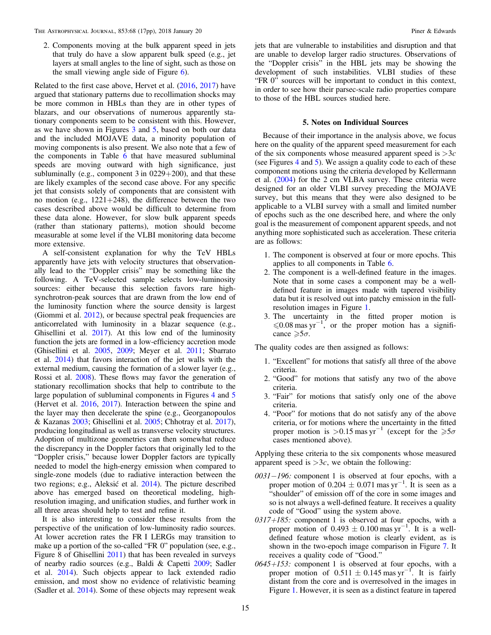2. Components moving at the bulk apparent speed in jets that truly do have a slow apparent bulk speed (e.g., jet layers at small angles to the line of sight, such as those on the small viewing angle side of Figure [6](#page-14-0)).

Related to the first case above, Hervet et al. ([2016,](#page-17-0) [2017](#page-17-0)) have argued that stationary patterns due to recollimation shocks may be more common in HBLs than they are in other types of blazars, and our observations of numerous apparently stationary components seem to be consistent with this. However, as we have shown in Figures [3](#page-13-0) and [5](#page-13-0), based on both our data and the included MOJAVE data, a minority population of moving components is also present. We also note that a few of the components in Table [6](#page-12-0) that have measured subluminal speeds are moving outward with high significance, just subluminally (e.g., component 3 in 0229+200), and that these are likely examples of the second case above. For any specific jet that consists solely of components that are consistent with no motion (e.g.,  $1221+248$ ), the difference between the two cases described above would be difficult to determine from these data alone. However, for slow bulk apparent speeds (rather than stationary patterns), motion should become measurable at some level if the VLBI monitoring data become more extensive.

A self-consistent explanation for why the TeV HBLs apparently have jets with velocity structures that observationally lead to the "Doppler crisis" may be something like the following. A TeV-selected sample selects low-luminosity sources: either because this selection favors rare highsynchrotron-peak sources that are drawn from the low end of the luminosity function where the source density is largest (Giommi et al. [2012](#page-17-0)), or because spectral peak frequencies are anticorrelated with luminosity in a blazar sequence (e.g., Ghisellini et al. [2017](#page-17-0)). At this low end of the luminosity function the jets are formed in a low-efficiency accretion mode (Ghisellini et al. [2005,](#page-17-0) [2009;](#page-17-0) Meyer et al. [2011;](#page-17-0) Sbarrato et al. [2014](#page-17-0)) that favors interaction of the jet walls with the external medium, causing the formation of a slower layer (e.g., Rossi et al. [2008](#page-17-0)). These flows may favor the generation of stationary recollimation shocks that help to contribute to the large population of subluminal components in Figures [4](#page-13-0) and [5](#page-13-0) (Hervet et al. [2016,](#page-17-0) [2017](#page-17-0)). Interaction between the spine and the layer may then decelerate the spine (e.g., Georganopoulos & Kazanas [2003;](#page-17-0) Ghisellini et al. [2005](#page-17-0); Chhotray et al. [2017](#page-17-0)), producing longitudinal as well as transverse velocity structures. Adoption of multizone geometries can then somewhat reduce the discrepancy in the Doppler factors that originally led to the "Doppler crisis," because lower Doppler factors are typically needed to model the high-energy emission when compared to single-zone models (due to radiative interaction between the two regions; e.g., Aleksić et al. [2014](#page-17-0)). The picture described above has emerged based on theoretical modeling, highresolution imaging, and unification studies, and further work in all three areas should help to test and refine it.

It is also interesting to consider these results from the perspective of the unification of low-luminosity radio sources. At lower accretion rates the FR I LERGs may transition to make up a portion of the so-called "FR 0" population (see, e.g., Figure 8 of Ghisellini [2011](#page-17-0)) that has been revealed in surveys of nearby radio sources (e.g., Baldi & Capetti [2009;](#page-17-0) Sadler et al. [2014](#page-17-0)). Such objects appear to lack extended radio emission, and most show no evidence of relativistic beaming (Sadler et al. [2014](#page-17-0)). Some of these objects may represent weak

jets that are vulnerable to instabilities and disruption and that are unable to develop larger radio structures. Observations of the "Doppler crisis" in the HBL jets may be showing the development of such instabilities. VLBI studies of these "FR 0" sources will be important to conduct in this context, in order to see how their parsec-scale radio properties compare to those of the HBL sources studied here.

# 5. Notes on Individual Sources

Because of their importance in the analysis above, we focus here on the quality of the apparent speed measurement for each of the six components whose measured apparent speed is >3*c* (see Figures [4](#page-13-0) and [5](#page-13-0)). We assign a quality code to each of these component motions using the criteria developed by Kellermann et al. ([2004](#page-17-0)) for the 2 cm VLBA survey. These criteria were designed for an older VLBI survey preceding the MOJAVE survey, but this means that they were also designed to be applicable to a VLBI survey with a small and limited number of epochs such as the one described here, and where the only goal is the measurement of component apparent speeds, and not anything more sophisticated such as acceleration. These criteria are as follows:

- 1. The component is observed at four or more epochs. This applies to all components in Table [6.](#page-12-0)
- 2. The component is a well-defined feature in the images. Note that in some cases a component may be a welldefined feature in images made with tapered visibility data but it is resolved out into patchy emission in the fullresolution images in Figure [1.](#page-6-0)
- 3. The uncertainty in the fitted proper motion is  $\leq 0.08$  mas yr<sup>-1</sup>, or the proper motion has a significance  $\geqslant 5\sigma$ .

The quality codes are then assigned as follows:

- 1. "Excellent" for motions that satisfy all three of the above criteria.
- 2. "Good" for motions that satisfy any two of the above criteria.
- 3. "Fair" for motions that satisfy only one of the above criteria.
- 4. "Poor" for motions that do not satisfy any of the above criteria, or for motions where the uncertainty in the fitted proper motion is >0.15 mas yr<sup>-1</sup> (except for the  $\geq 5\sigma$ cases mentioned above).

Applying these criteria to the six components whose measured apparent speed is  $>3c$ , we obtain the following:

- 0031−196: component 1 is observed at four epochs, with a proper motion of  $0.204 \pm 0.071$  mas yr<sup>-1</sup>. It is seen as a "shoulder" of emission off of the core in some images and so is not always a well-defined feature. It receives a quality code of "Good" using the system above.
- $0317+185$ : component 1 is observed at four epochs, with a proper motion of 0.493  $\pm$  0.100 mas yr<sup>-1</sup>. It is a welldefined feature whose motion is clearly evident, as is shown in the two-epoch image comparison in Figure [7](#page-16-0). It receives a quality code of "Good."
- $0645+153$ : component 1 is observed at four epochs, with a proper motion of  $0.511 \pm 0.145$  mas yr<sup>-1</sup>. It is fairly distant from the core and is overresolved in the images in Figure [1.](#page-6-0) However, it is seen as a distinct feature in tapered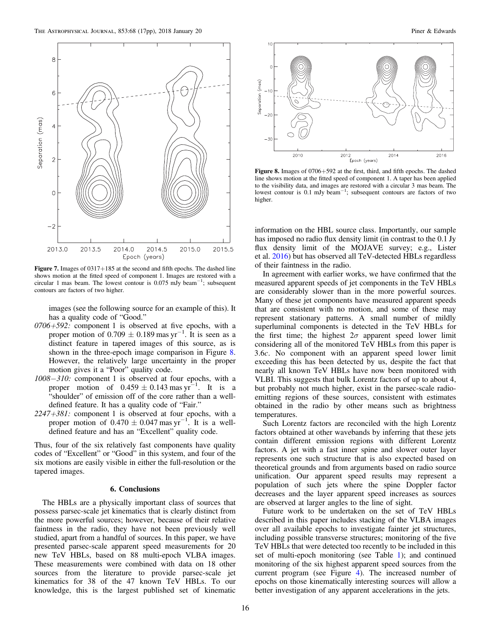<span id="page-16-0"></span>

Figure 7. Images of 0317+185 at the second and fifth epochs. The dashed line shows motion at the fitted speed of component 1. Images are restored with a circular 1 mas beam. The lowest contour is  $0.075$  mJy beam<sup>-1</sup>; subsequent contours are factors of two higher.

images (see the following source for an example of this). It has a quality code of "Good."

- $0706 + 592$ : component 1 is observed at five epochs, with a proper motion of  $0.709 \pm 0.189$  mas yr<sup>-1</sup>. It is seen as a distinct feature in tapered images of this source, as is shown in the three-epoch image comparison in Figure 8. However, the relatively large uncertainty in the proper motion gives it a "Poor" quality code.
- 1008−310: component 1 is observed at four epochs, with a proper motion of  $0.459 \pm 0.143$  mas  $yr^{-1}$ . It is a "shoulder" of emission off of the core rather than a welldefined feature. It has a quality code of "Fair."
- $2247 + 381$ : component 1 is observed at four epochs, with a proper motion of  $0.470 \pm 0.047$  mas yr<sup>-1</sup>. It is a welldefined feature and has an "Excellent" quality code.

Thus, four of the six relatively fast components have quality codes of "Excellent" or "Good" in this system, and four of the six motions are easily visible in either the full-resolution or the tapered images.

# 6. Conclusions

The HBLs are a physically important class of sources that possess parsec-scale jet kinematics that is clearly distinct from the more powerful sources; however, because of their relative faintness in the radio, they have not been previously well studied, apart from a handful of sources. In this paper, we have presented parsec-scale apparent speed measurements for 20 new TeV HBLs, based on 88 multi-epoch VLBA images. These measurements were combined with data on 18 other sources from the literature to provide parsec-scale jet kinematics for 38 of the 47 known TeV HBLs. To our knowledge, this is the largest published set of kinematic



Figure 8. Images of 0706+592 at the first, third, and fifth epochs. The dashed line shows motion at the fitted speed of component 1. A taper has been applied to the visibility data, and images are restored with a circular 3 mas beam. The lowest contour is 0.1 mJy beam−<sup>1</sup> ; subsequent contours are factors of two higher.

information on the HBL source class. Importantly, our sample has imposed no radio flux density limit (in contrast to the 0.1 Jy flux density limit of the MOJAVE survey; e.g., Lister et al. [2016](#page-17-0)) but has observed all TeV-detected HBLs regardless of their faintness in the radio.

In agreement with earlier works, we have confirmed that the measured apparent speeds of jet components in the TeV HBLs are considerably slower than in the more powerful sources. Many of these jet components have measured apparent speeds that are consistent with no motion, and some of these may represent stationary patterns. A small number of mildly superluminal components is detected in the TeV HBLs for the first time; the highest  $2\sigma$  apparent speed lower limit considering all of the monitored TeV HBLs from this paper is 3.6*c*. No component with an apparent speed lower limit exceeding this has been detected by us, despite the fact that nearly all known TeV HBLs have now been monitored with VLBI. This suggests that bulk Lorentz factors of up to about 4, but probably not much higher, exist in the parsec-scale radioemitting regions of these sources, consistent with estimates obtained in the radio by other means such as brightness temperatures.

Such Lorentz factors are reconciled with the high Lorentz factors obtained at other wavebands by inferring that these jets contain different emission regions with different Lorentz factors. A jet with a fast inner spine and slower outer layer represents one such structure that is also expected based on theoretical grounds and from arguments based on radio source unification. Our apparent speed results may represent a population of such jets where the spine Doppler factor decreases and the layer apparent speed increases as sources are observed at larger angles to the line of sight.

Future work to be undertaken on the set of TeV HBLs described in this paper includes stacking of the VLBA images over all available epochs to investigate fainter jet structures, including possible transverse structures; monitoring of the five TeV HBLs that were detected too recently to be included in this set of multi-epoch monitoring (see Table [1](#page-3-0)); and continued monitoring of the six highest apparent speed sources from the current program (see Figure [4](#page-13-0)). The increased number of epochs on those kinematically interesting sources will allow a better investigation of any apparent accelerations in the jets.